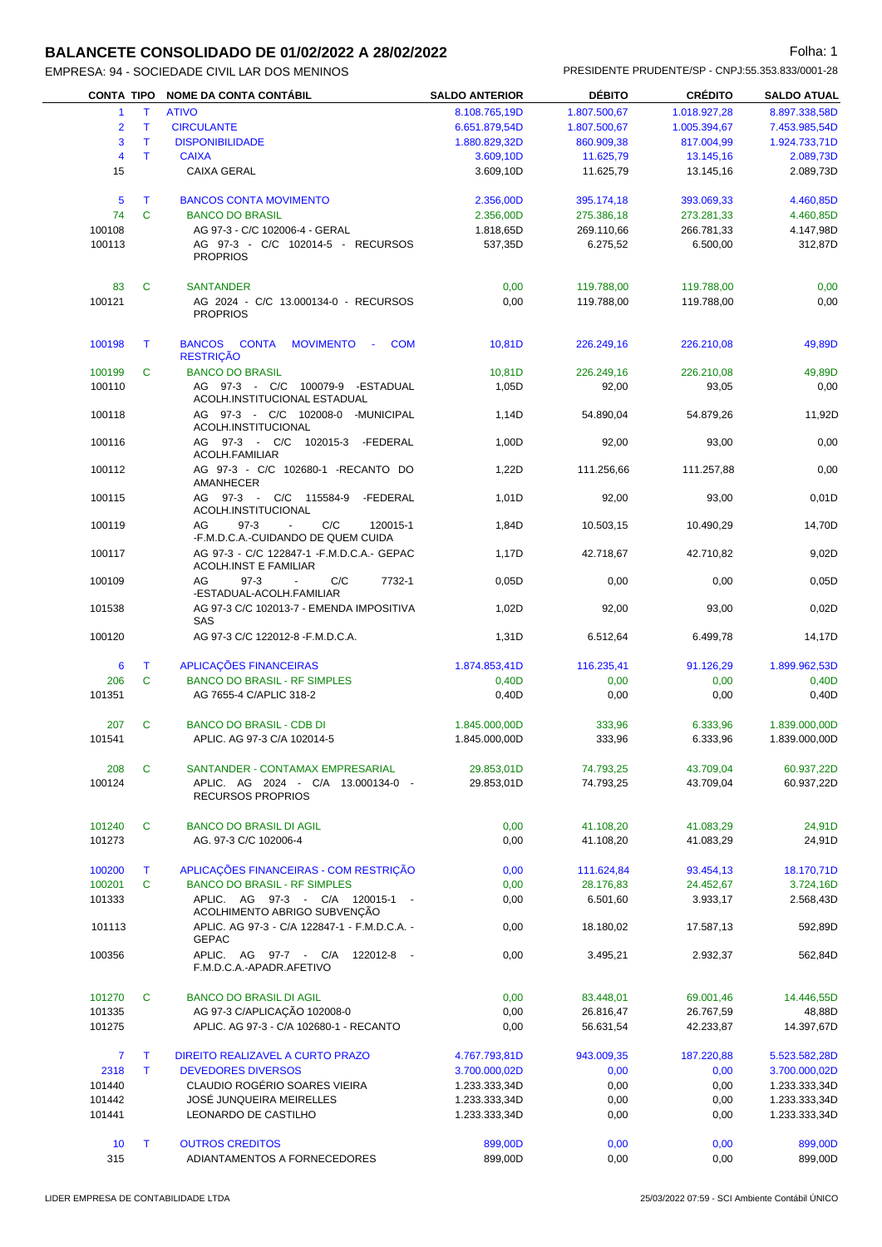### **BALANCETE CONSOLIDADO DE 01/02/2022 A 28/02/2022 Folha: 1** Folha: 1

| <b>CONTA TIPO</b>       |              | <b>NOME DA CONTA CONTÁBIL</b>                                                            | <b>SALDO ANTERIOR</b> | <b>DÉBITO</b> | <b>CRÉDITO</b> | <b>SALDO ATUAL</b> |
|-------------------------|--------------|------------------------------------------------------------------------------------------|-----------------------|---------------|----------------|--------------------|
| $\mathbf{1}$            | Τ            | <b>ATIVO</b>                                                                             | 8.108.765,19D         | 1.807.500,67  | 1.018.927,28   | 8.897.338,58D      |
| $\overline{2}$          | T            | <b>CIRCULANTE</b>                                                                        | 6.651.879,54D         | 1.807.500,67  | 1.005.394,67   | 7.453.985,54D      |
| 3                       | T            | <b>DISPONIBILIDADE</b>                                                                   | 1.880.829,32D         | 860.909,38    | 817.004,99     | 1.924.733,71D      |
|                         |              |                                                                                          |                       |               |                |                    |
| $\overline{\mathbf{4}}$ | Τ            | <b>CAIXA</b>                                                                             | 3.609,10D             | 11.625,79     | 13.145.16      | 2.089,73D          |
| 15                      |              | <b>CAIXA GERAL</b>                                                                       | 3.609,10D             | 11.625,79     | 13.145,16      | 2.089,73D          |
| 5                       | T            | <b>BANCOS CONTA MOVIMENTO</b>                                                            | 2.356,00D             | 395.174,18    | 393.069,33     | 4.460,85D          |
| 74                      | $\mathbf{C}$ | <b>BANCO DO BRASIL</b>                                                                   | 2.356,00D             | 275.386,18    | 273.281,33     | 4.460,85D          |
| 100108                  |              | AG 97-3 - C/C 102006-4 - GERAL                                                           | 1.818,65D             | 269.110,66    | 266.781,33     | 4.147,98D          |
| 100113                  |              | AG 97-3 - C/C 102014-5 - RECURSOS                                                        | 537,35D               | 6.275,52      | 6.500,00       | 312,87D            |
|                         |              | <b>PROPRIOS</b>                                                                          |                       |               |                |                    |
| 83                      | C            | <b>SANTANDER</b>                                                                         | 0,00                  | 119.788,00    | 119.788,00     | 0,00               |
| 100121                  |              | AG 2024 - C/C 13.000134-0 - RECURSOS                                                     | 0,00                  | 119.788,00    | 119.788,00     | 0,00               |
|                         |              | <b>PROPRIOS</b>                                                                          |                       |               |                |                    |
| 100198                  | T            | BANCOS CONTA<br>MOVIMENTO -<br><b>COM</b>                                                | 10,81D                | 226.249,16    | 226.210,08     | 49,89D             |
|                         |              | <b>RESTRIÇÃO</b>                                                                         |                       |               |                |                    |
| 100199                  | C            | <b>BANCO DO BRASIL</b>                                                                   | 10,81D                | 226.249,16    | 226.210,08     | 49,89D             |
| 100110                  |              | AG 97-3 - C/C 100079-9 -ESTADUAL<br>ACOLH.INSTITUCIONAL ESTADUAL                         | 1,05D                 | 92,00         | 93,05          | 0,00               |
| 100118                  |              | AG 97-3 - C/C 102008-0 -MUNICIPAL                                                        | 1,14D                 | 54.890,04     | 54.879,26      | 11,92D             |
|                         |              | ACOLH.INSTITUCIONAL                                                                      |                       |               |                |                    |
| 100116                  |              | AG 97-3 - C/C 102015-3 -FEDERAL<br>ACOLH.FAMILIAR                                        | 1,00D                 | 92,00         | 93,00          | 0,00               |
| 100112                  |              | AG 97-3 - C/C 102680-1 -RECANTO DO<br>AMANHECER                                          | 1,22D                 | 111.256,66    | 111.257,88     | 0,00               |
| 100115                  |              | AG 97-3 - C/C 115584-9<br>-FEDERAL                                                       | 1,01D                 | 92,00         | 93,00          | 0,01D              |
| 100119                  |              | ACOLH.INSTITUCIONAL<br>AG<br>$97-3$<br>C/C<br>120015-1<br>$\sim$                         | 1,84D                 | 10.503,15     | 10.490,29      | 14,70D             |
|                         |              | -F.M.D.C.A.-CUIDANDO DE QUEM CUIDA                                                       |                       |               |                |                    |
| 100117                  |              | AG 97-3 - C/C 122847-1 - F.M.D.C.A.- GEPAC<br><b>ACOLH.INST E FAMILIAR</b>               | 1,17D                 | 42.718,67     | 42.710,82      | 9,02D              |
| 100109                  |              | C/C<br>7732-1<br>AG<br>$97-3$<br>$\mathcal{L}_{\mathcal{A}}$<br>-ESTADUAL-ACOLH.FAMILIAR | 0,05D                 | 0,00          | 0,00           | 0,05D              |
| 101538                  |              | AG 97-3 C/C 102013-7 - EMENDA IMPOSITIVA<br>SAS                                          | 1,02D                 | 92,00         | 93,00          | 0,02D              |
| 100120                  |              | AG 97-3 C/C 122012-8 - F.M.D.C.A.                                                        | 1,31D                 | 6.512,64      | 6.499,78       | 14,17D             |
| 6                       | $\top$       | APLICAÇÕES FINANCEIRAS                                                                   | 1.874.853,41D         | 116.235,41    | 91.126,29      | 1.899.962,53D      |
| 206                     | $\mathbf{C}$ | <b>BANCO DO BRASIL - RF SIMPLES</b>                                                      | 0,40D                 | 0,00          | 0,00           | 0,40D              |
| 101351                  |              | AG 7655-4 C/APLIC 318-2                                                                  | 0,40D                 | 0,00          | 0,00           | 0,40D              |
|                         |              |                                                                                          |                       |               |                |                    |
| 207                     | C            | <b>BANCO DO BRASIL - CDB DI</b>                                                          | 1.845.000,00D         | 333,96        | 6.333,96       | 1.839.000,00D      |
| 101541                  |              | APLIC. AG 97-3 C/A 102014-5                                                              | 1.845.000,00D         | 333,96        | 6.333,96       | 1.839.000,00D      |
|                         |              |                                                                                          |                       |               |                |                    |
| 208                     | C            | SANTANDER - CONTAMAX EMPRESARIAL                                                         | 29.853,01D            | 74.793,25     | 43.709,04      | 60.937,22D         |
| 100124                  |              | APLIC. AG 2024 - C/A 13.000134-0 -                                                       | 29.853,01D            | 74.793,25     | 43.709,04      | 60.937,22D         |
|                         |              | <b>RECURSOS PROPRIOS</b>                                                                 |                       |               |                |                    |
| 101240                  | C            | <b>BANCO DO BRASIL DI AGIL</b>                                                           | 0,00                  | 41.108,20     | 41.083,29      | 24,91D             |
| 101273                  |              | AG. 97-3 C/C 102006-4                                                                    | 0,00                  | 41.108,20     | 41.083,29      | 24,91D             |
|                         |              |                                                                                          |                       |               |                |                    |
| 100200                  | T.           | APLICAÇÕES FINANCEIRAS - COM RESTRIÇÃO                                                   | 0,00                  | 111.624,84    | 93.454,13      | 18.170,71D         |
| 100201                  | C            | <b>BANCO DO BRASIL - RF SIMPLES</b>                                                      | 0,00                  | 28.176,83     | 24.452,67      | 3.724,16D          |
| 101333                  |              | APLIC. AG 97-3 - C/A 120015-1 -                                                          | 0,00                  | 6.501,60      | 3.933,17       | 2.568,43D          |
| 101113                  |              | ACOLHIMENTO ABRIGO SUBVENÇÃO<br>APLIC. AG 97-3 - C/A 122847-1 - F.M.D.C.A. -             | 0,00                  | 18.180,02     | 17.587,13      | 592,89D            |
|                         |              | <b>GEPAC</b>                                                                             |                       |               |                |                    |
| 100356                  |              | APLIC. AG 97-7 - C/A 122012-8 -<br>F.M.D.C.A.-APADR.AFETIVO                              | 0,00                  | 3.495,21      | 2.932,37       | 562,84D            |
| 101270                  | C            | <b>BANCO DO BRASIL DI AGIL</b>                                                           | 0,00                  | 83.448,01     | 69.001,46      | 14.446,55D         |
| 101335                  |              | AG 97-3 C/APLICAÇÃO 102008-0                                                             | 0,00                  | 26.816,47     | 26.767,59      | 48,88D             |
| 101275                  |              | APLIC. AG 97-3 - C/A 102680-1 - RECANTO                                                  | 0,00                  | 56.631,54     | 42.233,87      | 14.397,67D         |
| $\overline{7}$          | T            | DIREITO REALIZAVEL A CURTO PRAZO                                                         | 4.767.793,81D         | 943.009,35    | 187.220,88     | 5.523.582,28D      |
| 2318                    | T.           | <b>DEVEDORES DIVERSOS</b>                                                                | 3.700.000,02D         | 0,00          | 0,00           | 3.700.000,02D      |
| 101440                  |              | CLAUDIO ROGÉRIO SOARES VIEIRA                                                            | 1.233.333,34D         | 0,00          | 0,00           | 1.233.333,34D      |
| 101442                  |              | JOSÉ JUNQUEIRA MEIRELLES                                                                 | 1.233.333,34D         | 0,00          | 0,00           | 1.233.333,34D      |
| 101441                  |              | LEONARDO DE CASTILHO                                                                     | 1.233.333,34D         | 0,00          | 0,00           | 1.233.333,34D      |
|                         |              |                                                                                          |                       |               |                |                    |
| 10                      | T.           | <b>OUTROS CREDITOS</b>                                                                   | 899,00D               | 0,00          | 0,00           | 899,00D            |
| 315                     |              | ADIANTAMENTOS A FORNECEDORES                                                             | 899,00D               | 0,00          | 0,00           | 899,00D            |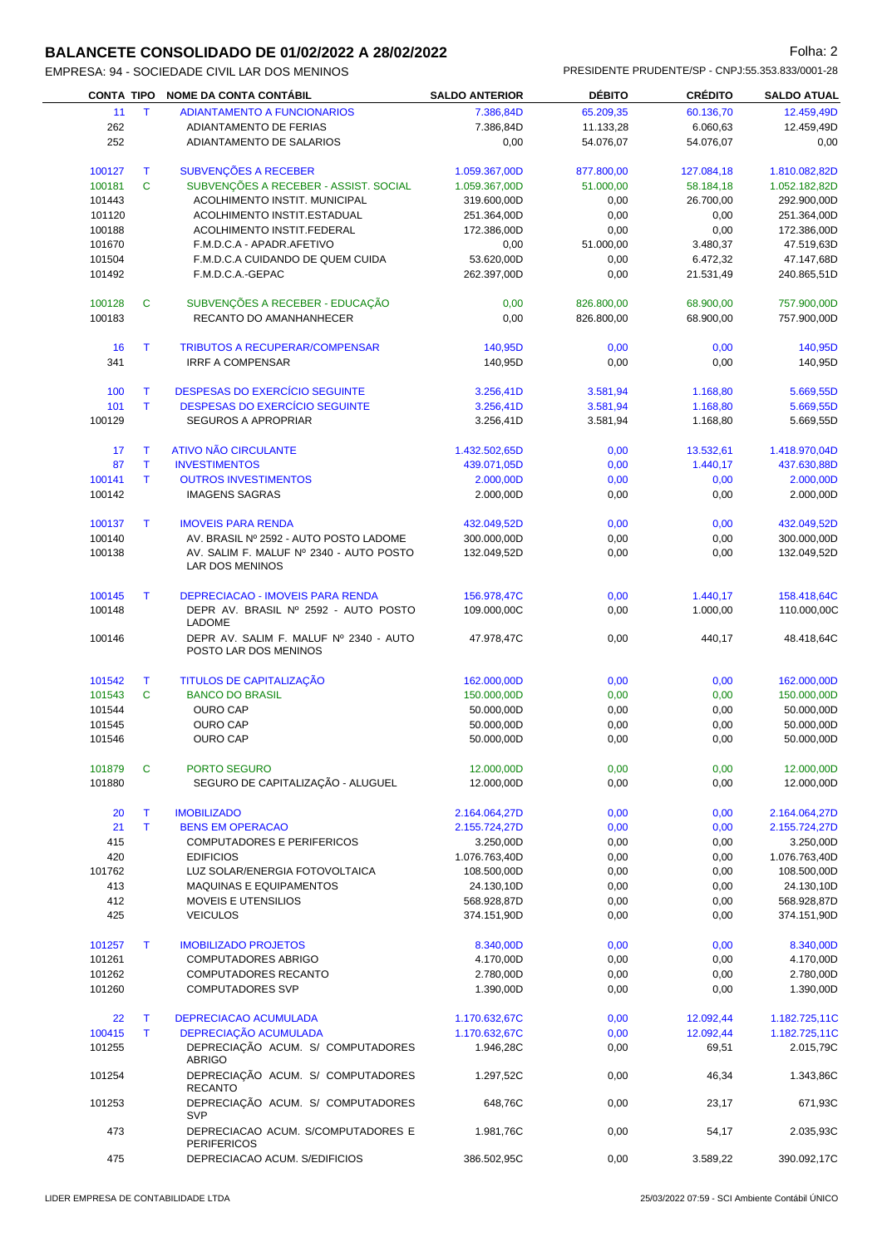#### **BALANCETE CONSOLIDADO DE 01/02/2022 A 28/02/2022 Folha: 2** Folha: 2

|                   |    | :SA. 94 - SUCIEDADE CIVIL LAR DUS MENINUS |                       |               | FINLOIDLINTL FINUDLINTL/OF " UNFU.00.000.000/000T "ZO |                    |
|-------------------|----|-------------------------------------------|-----------------------|---------------|-------------------------------------------------------|--------------------|
| <b>CONTA TIPO</b> |    | <b>NOME DA CONTA CONTÁBIL</b>             | <b>SALDO ANTERIOR</b> | <b>DÉBITO</b> | <b>CRÉDITO</b>                                        | <b>SALDO ATUAL</b> |
| 11                |    | ADIANTAMENTO A FUNCIONARIOS               | 7.386.84D             | 65.209,35     | 60.136,70                                             | 12.459,49D         |
| 262               |    | ADIANTAMENTO DE FERIAS                    | 7.386.84D             | 11.133.28     | 6.060,63                                              | 12.459,49D         |
| 252               |    | ADIANTAMENTO DE SALARIOS                  | 0.00                  | 54.076.07     | 54.076.07                                             | 0.00               |
| 100127            |    | SUBVENÇÕES A RECEBER                      | 1.059.367,00D         | 877.800,00    | 127.084,18                                            | 1.810.082,82D      |
| 100181            | C. | SUBVENÇÕES A RECEBER - ASSIST. SOCIAL     | 1.059.367,00D         | 51.000,00     | 58.184,18                                             | 1.052.182,82D      |
| 101443            |    | <b>ACOLHIMENTO INSTIT. MUNICIPAL</b>      | 319,600,00D           | 0.00          | 26.700,00                                             | 292.900.00D        |

| 11               | $\mathsf T$ | <b>ADIANTAMENTO A FUNCIONARIOS</b>                              | 7.386,84D                  | 65.209,35    | 60.136,70          | 12.459,49D                 |
|------------------|-------------|-----------------------------------------------------------------|----------------------------|--------------|--------------------|----------------------------|
| 262              |             | ADIANTAMENTO DE FERIAS                                          | 7.386,84D                  | 11.133,28    | 6.060,63           | 12.459,49D                 |
| 252              |             | ADIANTAMENTO DE SALARIOS                                        | 0,00                       | 54.076,07    | 54.076,07          | 0,00                       |
| 100127           | Т           | SUBVENÇÕES A RECEBER                                            | 1.059.367,00D              | 877.800,00   | 127.084,18         | 1.810.082,82D              |
| 100181           | C           | SUBVENÇÕES A RECEBER - ASSIST. SOCIAL                           | 1.059.367,00D              | 51.000,00    | 58.184,18          | 1.052.182,82D              |
| 101443           |             | <b>ACOLHIMENTO INSTIT. MUNICIPAL</b>                            | 319.600,00D                | 0,00         | 26.700,00          | 292.900,00D                |
| 101120           |             | ACOLHIMENTO INSTIT.ESTADUAL                                     | 251.364,00D                | 0,00         | 0,00               | 251.364,00D                |
| 100188           |             | ACOLHIMENTO INSTIT.FEDERAL                                      | 172.386,00D                | 0,00         | 0,00               | 172.386,00D                |
| 101670           |             | F.M.D.C.A - APADR.AFETIVO                                       | 0,00                       | 51.000,00    | 3.480,37           | 47.519,63D                 |
| 101504           |             | F.M.D.C.A CUIDANDO DE QUEM CUIDA                                | 53.620,00D                 | 0,00         | 6.472,32           | 47.147,68D                 |
| 101492           |             | F.M.D.C.A.-GEPAC                                                | 262.397,00D                | 0,00         | 21.531,49          | 240.865,51D                |
| 100128           | C           | SUBVENÇÕES A RECEBER - EDUCAÇÃO                                 | 0,00                       | 826.800,00   | 68.900,00          | 757.900,00D                |
| 100183           |             | RECANTO DO AMANHANHECER                                         | 0,00                       | 826.800,00   | 68.900,00          | 757.900,00D                |
| 16               | T           | <b>TRIBUTOS A RECUPERAR/COMPENSAR</b>                           | 140,95D                    | 0,00         | 0,00               | 140,95D                    |
| 341              |             | <b>IRRF A COMPENSAR</b>                                         | 140,95D                    | 0,00         | 0,00               | 140,95D                    |
| 100              | Т           | DESPESAS DO EXERCÍCIO SEGUINTE                                  | 3.256,41D                  | 3.581,94     | 1.168,80           | 5.669,55D                  |
| 101              | T.          | DESPESAS DO EXERCÍCIO SEGUINTE                                  | 3.256,41D                  | 3.581,94     | 1.168,80           | 5.669,55D                  |
| 100129           |             | SEGUROS A APROPRIAR                                             | 3.256,41D                  | 3.581,94     | 1.168,80           | 5.669,55D                  |
| 17               | Т           | <b>ATIVO NÃO CIRCULANTE</b>                                     | 1.432.502,65D              | 0,00         | 13.532,61          | 1.418.970,04D              |
| 87               | T           | <b>INVESTIMENTOS</b>                                            | 439.071,05D                | 0,00         | 1.440,17           | 437.630,88D                |
| 100141           | T.          | <b>OUTROS INVESTIMENTOS</b>                                     | 2.000,00D                  | 0,00         | 0,00               | 2.000,00D                  |
| 100142           |             | <b>IMAGENS SAGRAS</b>                                           | 2.000,00D                  | 0,00         | 0,00               | 2.000,00D                  |
|                  |             |                                                                 |                            |              |                    |                            |
| 100137           | т           | <b>IMOVEIS PARA RENDA</b>                                       | 432.049,52D                | 0,00         | 0,00               | 432.049,52D                |
| 100140           |             | AV. BRASIL Nº 2592 - AUTO POSTO LADOME                          | 300.000,00D                | 0,00         | 0,00               | 300.000,00D                |
| 100138           |             | AV. SALIM F. MALUF Nº 2340 - AUTO POSTO<br>LAR DOS MENINOS      | 132.049,52D                | 0,00         | 0,00               | 132.049,52D                |
| 100145           | т           | <b>DEPRECIACAO - IMOVEIS PARA RENDA</b>                         | 156.978,47C                | 0,00         | 1.440,17           | 158.418,64C                |
| 100148           |             | DEPR AV. BRASIL Nº 2592 - AUTO POSTO<br>LADOME                  | 109.000,00C                | 0,00         | 1.000,00           | 110.000,00C                |
| 100146           |             | DEPR AV. SALIM F. MALUF Nº 2340 - AUTO<br>POSTO LAR DOS MENINOS | 47.978,47C                 | 0,00         | 440,17             | 48.418,64C                 |
| 101542           | Т           | TITULOS DE CAPITALIZAÇÃO                                        | 162.000,00D                | 0,00         | 0,00               | 162.000,00D                |
| 101543           | C           | <b>BANCO DO BRASIL</b>                                          | 150.000,00D                | 0,00         | 0,00               | 150.000,00D                |
| 101544           |             | <b>OURO CAP</b>                                                 | 50.000,00D                 | 0,00         | 0,00               | 50.000,00D                 |
| 101545           |             | <b>OURO CAP</b>                                                 | 50.000,00D                 | 0,00         | 0,00               | 50.000,00D                 |
| 101546           |             | <b>OURO CAP</b>                                                 | 50.000,00D                 | 0,00         | 0,00               | 50.000,00D                 |
| 101879           | C.          | PORTO SEGURO                                                    | 12.000,00D                 | 0,00         | 0,00               | 12.000,00D                 |
| 101880           |             | SEGURO DE CAPITALIZAÇÃO - ALUGUEL                               | 12.000,00D                 | 0,00         | 0,00               | 12.000,00D                 |
| 20               | T           | <b>IMOBILIZADO</b>                                              | 2.164.064,27D              | 0,00         | 0,00               | 2.164.064,27D              |
| 21               | T.          | <b>BENS EM OPERACAO</b>                                         | 2.155.724,27D              | 0,00         | 0,00               | 2.155.724,27D              |
| 415              |             | COMPUTADORES E PERIFERICOS                                      | 3.250,00D                  | 0,00         | 0,00               | 3.250,00D                  |
| 420              |             | <b>EDIFICIOS</b>                                                | 1.076.763,40D              | 0,00         | 0,00               | 1.076.763,40D              |
| 101762           |             | LUZ SOLAR/ENERGIA FOTOVOLTAICA                                  | 108.500,00D                | 0,00         | 0,00               | 108.500,00D                |
| 413              |             | MAQUINAS E EQUIPAMENTOS                                         | 24.130,10D                 | 0,00         | 0,00               | 24.130,10D                 |
| 412              |             | MOVEIS E UTENSILIOS                                             | 568.928,87D                | 0,00         | 0,00               | 568.928,87D                |
| 425              |             | <b>VEICULOS</b>                                                 | 374.151,90D                | 0,00         | 0,00               | 374.151,90D                |
|                  |             |                                                                 |                            |              |                    |                            |
| 101257           | T           | <b>IMOBILIZADO PROJETOS</b>                                     | 8.340,00D                  | 0,00         | 0,00               | 8.340,00D                  |
| 101261           |             | COMPUTADORES ABRIGO                                             | 4.170,00D                  | 0,00         | 0,00               | 4.170,00D                  |
| 101262<br>101260 |             | COMPUTADORES RECANTO<br><b>COMPUTADORES SVP</b>                 | 2.780,00D<br>1.390,00D     | 0,00<br>0,00 | 0,00<br>0,00       | 2.780,00D<br>1.390,00D     |
|                  |             |                                                                 |                            |              |                    |                            |
| 22               | T           | DEPRECIACAO ACUMULADA                                           | 1.170.632,67C              | 0,00         | 12.092,44          | 1.182.725,11C              |
| 100415<br>101255 | T.          | DEPRECIAÇÃO ACUMULADA<br>DEPRECIAÇÃO ACUM. S/ COMPUTADORES      | 1.170.632,67C<br>1.946,28C | 0,00<br>0,00 | 12.092,44<br>69,51 | 1.182.725,11C<br>2.015,79C |
| 101254           |             | <b>ABRIGO</b><br>DEPRECIAÇÃO ACUM. S/ COMPUTADORES              | 1.297,52C                  | 0,00         | 46,34              | 1.343,86C                  |
| 101253           |             | <b>RECANTO</b><br>DEPRECIAÇÃO ACUM. S/ COMPUTADORES             | 648,76C                    | 0,00         | 23,17              | 671,93C                    |
| 473              |             | <b>SVP</b><br>DEPRECIACAO ACUM. S/COMPUTADORES E                | 1.981,76C                  | 0,00         | 54,17              | 2.035,93C                  |
| 475              |             | <b>PERIFERICOS</b><br>DEPRECIACAO ACUM. S/EDIFICIOS             | 386.502,95C                | 0,00         | 3.589,22           | 390.092,17C                |
|                  |             |                                                                 |                            |              |                    |                            |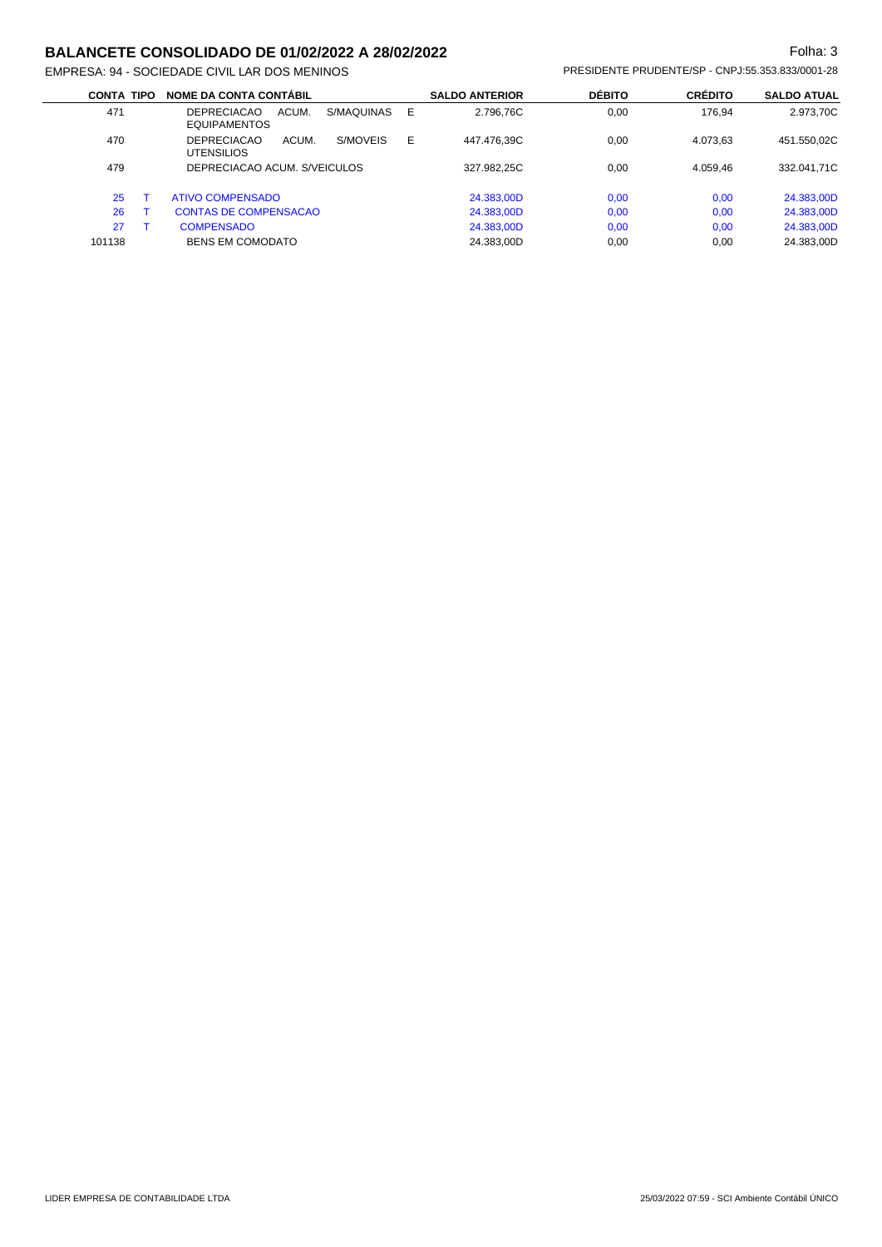#### **BALANCETE CONSOLIDADO DE 01/02/2022 A 28/02/2022 Folha: 3** Folha: 3

| <b>CONTA TIPO</b> | <b>NOME DA CONTA CONTÁBIL</b>                                    |   | <b>SALDO ANTERIOR</b> | <b>DÉBITO</b> | <b>CRÉDITO</b> | <b>SALDO ATUAL</b> |
|-------------------|------------------------------------------------------------------|---|-----------------------|---------------|----------------|--------------------|
| 471               | ACUM.<br>S/MAQUINAS<br><b>DEPRECIACAO</b><br><b>EQUIPAMENTOS</b> | Ε | 2.796.76C             | 0.00          | 176.94         | 2.973,70C          |
| 470               | S/MOVEIS<br><b>DEPRECIACAO</b><br>ACUM.<br><b>UTENSILIOS</b>     | Е | 447.476,39C           | 0,00          | 4.073.63       | 451.550,02C        |
| 479               | DEPRECIACAO ACUM. S/VEICULOS                                     |   | 327.982.25C           | 0.00          | 4.059.46       | 332.041,71C        |
| 25                | <b>ATIVO COMPENSADO</b>                                          |   | 24.383,00D            | 0,00          | 0,00           | 24.383,00D         |
| 26                | <b>CONTAS DE COMPENSACAO</b>                                     |   | 24.383,00D            | 0,00          | 0,00           | 24.383,00D         |
| 27                | <b>COMPENSADO</b>                                                |   | 24.383,00D            | 0,00          | 0,00           | 24.383,00D         |
| 101138            | <b>BENS EM COMODATO</b>                                          |   | 24.383.00D            | 0.00          | 0.00           | 24.383.00D         |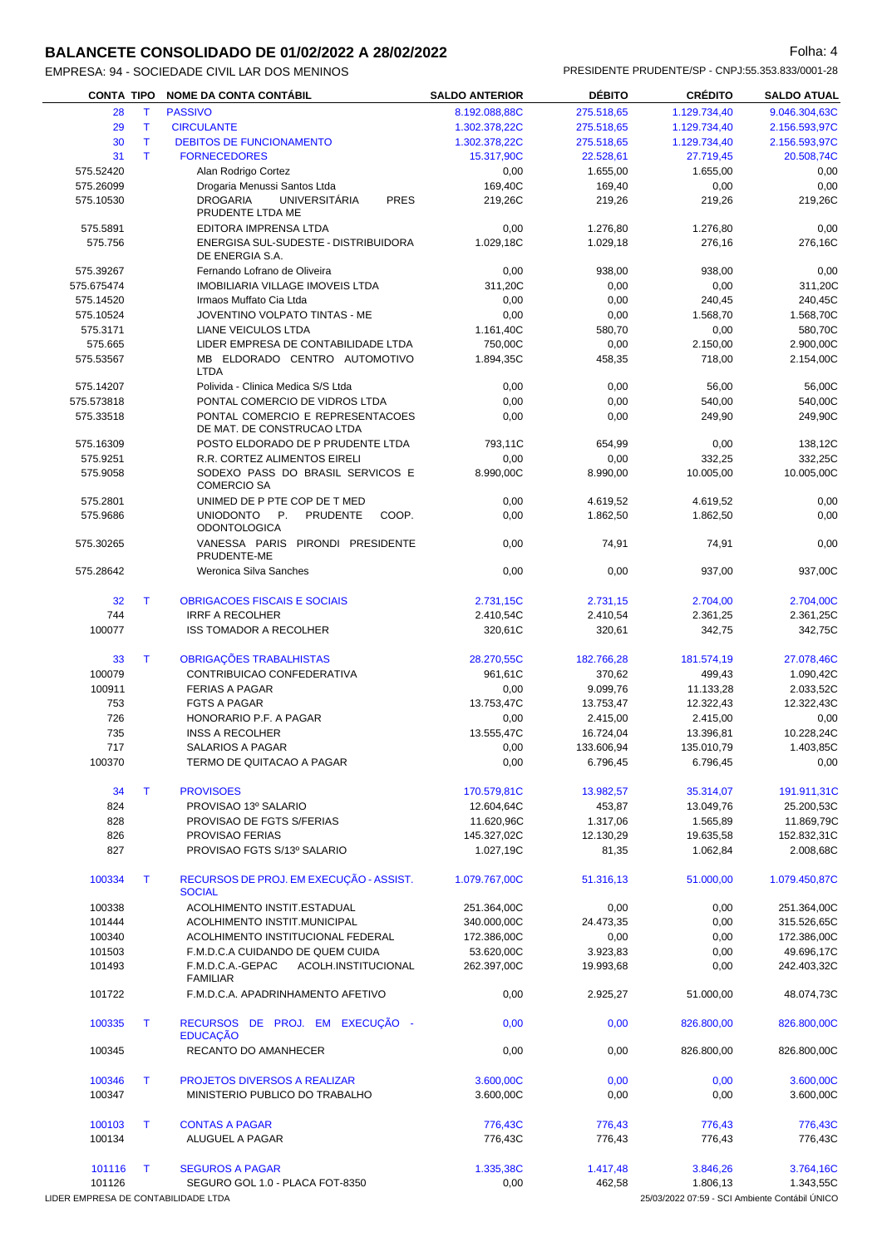#### **BALANCETE CONSOLIDADO DE 01/02/2022 A 28/02/2022 Folha: 4** Folha: 4

| <b>CONTA TIPO</b>                   |              | <b>NOME DA CONTA CONTÁBIL</b>                                                  | <b>SALDO ANTERIOR</b> | <b>DÉBITO</b> | <b>CRÉDITO</b>                                 | <b>SALDO ATUAL</b> |
|-------------------------------------|--------------|--------------------------------------------------------------------------------|-----------------------|---------------|------------------------------------------------|--------------------|
| 28                                  | Т            | <b>PASSIVO</b>                                                                 | 8.192.088,88C         | 275.518,65    | 1.129.734,40                                   | 9.046.304,63C      |
| 29                                  | $\mathsf{T}$ | <b>CIRCULANTE</b>                                                              | 1.302.378,22C         | 275.518,65    | 1.129.734,40                                   | 2.156.593,97C      |
| 30                                  | T            | <b>DEBITOS DE FUNCIONAMENTO</b>                                                | 1.302.378,22C         | 275.518,65    | 1.129.734,40                                   | 2.156.593,97C      |
| 31                                  | T.           | <b>FORNECEDORES</b>                                                            | 15.317,90C            | 22.528,61     | 27.719,45                                      | 20.508,74C         |
| 575.52420                           |              | Alan Rodrigo Cortez                                                            | 0,00                  | 1.655,00      | 1.655,00                                       | 0,00               |
| 575.26099                           |              | Drogaria Menussi Santos Ltda                                                   | 169,40C               | 169,40        | 0,00                                           | 0,00               |
| 575.10530                           |              | UNIVERSITÁRIA<br><b>DROGARIA</b><br><b>PRES</b><br>PRUDENTE LTDA ME            | 219,26C               | 219,26        | 219,26                                         | 219,26C            |
| 575.5891                            |              | EDITORA IMPRENSA LTDA                                                          | 0,00                  | 1.276,80      | 1.276,80                                       | 0,00               |
| 575.756                             |              | ENERGISA SUL-SUDESTE - DISTRIBUIDORA<br>DE ENERGIA S.A.                        | 1.029,18C             | 1.029,18      | 276,16                                         | 276,16C            |
| 575.39267                           |              | Fernando Lofrano de Oliveira                                                   | 0,00                  | 938,00        | 938,00                                         | 0,00               |
| 575.675474                          |              | <b>IMOBILIARIA VILLAGE IMOVEIS LTDA</b>                                        | 311,20C               | 0,00          | 0,00                                           | 311,20C            |
| 575.14520                           |              | Irmaos Muffato Cia Ltda                                                        | 0,00                  | 0,00          | 240.45                                         | 240,45C            |
| 575.10524                           |              | JOVENTINO VOLPATO TINTAS - ME                                                  | 0,00                  | 0,00          | 1.568,70                                       | 1.568,70C          |
| 575.3171                            |              | <b>LIANE VEICULOS LTDA</b>                                                     | 1.161,40C             | 580,70        | 0,00                                           | 580,70C            |
| 575.665                             |              | LIDER EMPRESA DE CONTABILIDADE LTDA                                            | 750,00C               | 0,00          | 2.150,00                                       | 2.900,00C          |
| 575.53567                           |              | MB ELDORADO CENTRO AUTOMOTIVO<br><b>LTDA</b>                                   | 1.894,35C             | 458,35        | 718,00                                         | 2.154,00C          |
| 575.14207                           |              | Polivida - Clinica Medica S/S Ltda                                             | 0,00                  | 0,00          | 56,00                                          | 56,00C             |
| 575.573818                          |              | PONTAL COMERCIO DE VIDROS LTDA                                                 | 0,00                  | 0,00          | 540,00                                         | 540,00C            |
| 575.33518                           |              | PONTAL COMERCIO E REPRESENTACOES<br>DE MAT. DE CONSTRUCAO LTDA                 | 0,00                  | 0,00          | 249,90                                         | 249,90C            |
| 575.16309                           |              | POSTO ELDORADO DE P PRUDENTE LTDA                                              | 793,11C               | 654,99        | 0,00                                           | 138,12C            |
| 575.9251                            |              | R.R. CORTEZ ALIMENTOS EIRELI                                                   | 0,00                  | 0,00          | 332,25                                         | 332,25C            |
| 575.9058                            |              | SODEXO PASS DO BRASIL SERVICOS E<br><b>COMERCIO SA</b>                         | 8.990.00C             | 8.990,00      | 10.005,00                                      | 10.005,00C         |
| 575.2801                            |              | UNIMED DE P PTE COP DE T MED                                                   | 0,00                  | 4.619,52      | 4.619,52                                       | 0,00               |
| 575.9686                            |              | <b>UNIODONTO</b><br>P <sub>1</sub><br>PRUDENTE<br>COOP.<br><b>ODONTOLOGICA</b> | 0,00                  | 1.862,50      | 1.862,50                                       | 0,00               |
| 575.30265                           |              | VANESSA PARIS PIRONDI PRESIDENTE<br>PRUDENTE-ME                                | 0,00                  | 74,91         | 74,91                                          | 0,00               |
| 575.28642                           |              | Weronica Silva Sanches                                                         | 0,00                  | 0,00          | 937,00                                         | 937,00C            |
| 32                                  | T.           | <b>OBRIGACOES FISCAIS E SOCIAIS</b>                                            | 2.731,15C             | 2.731,15      | 2.704,00                                       | 2.704,00C          |
| 744                                 |              | <b>IRRF A RECOLHER</b>                                                         | 2.410,54C             | 2.410,54      | 2.361,25                                       | 2.361,25C          |
| 100077                              |              | <b>ISS TOMADOR A RECOLHER</b>                                                  | 320,61C               | 320,61        | 342,75                                         | 342,75C            |
| 33                                  | T            | OBRIGAÇÕES TRABALHISTAS                                                        | 28.270,55C            | 182.766,28    | 181.574,19                                     | 27.078,46C         |
| 100079                              |              | CONTRIBUICAO CONFEDERATIVA                                                     | 961,61C               | 370,62        | 499,43                                         | 1.090,42C          |
| 100911                              |              | <b>FERIAS A PAGAR</b>                                                          | 0,00                  | 9.099,76      | 11.133,28                                      | 2.033,52C          |
| 753                                 |              | <b>FGTS A PAGAR</b>                                                            | 13.753,47C            | 13.753,47     | 12.322,43                                      | 12.322,43C         |
| 726                                 |              | HONORARIO P.F. A PAGAR                                                         | 0,00                  | 2.415,00      | 2.415,00                                       | 0,00               |
| 735                                 |              | <b>INSS A RECOLHER</b>                                                         | 13.555,47C            | 16.724,04     | 13.396,81                                      | 10.228,24C         |
| 717                                 |              | <b>SALARIOS A PAGAR</b>                                                        | 0,00                  | 133.606,94    | 135.010,79                                     | 1.403,85C          |
| 100370                              |              | TERMO DE QUITACAO A PAGAR                                                      | 0,00                  | 6.796,45      | 6.796,45                                       | 0,00               |
| 34                                  | T.           | <b>PROVISOES</b>                                                               | 170.579,81C           | 13.982,57     | 35.314,07                                      | 191.911,31C        |
| 824                                 |              | PROVISAO 13º SALARIO                                                           | 12.604,64C            | 453,87        | 13.049,76                                      | 25.200,53C         |
| 828                                 |              | PROVISAO DE FGTS S/FERIAS                                                      | 11.620,96C            | 1.317,06      | 1.565,89                                       | 11.869,79C         |
| 826                                 |              | PROVISAO FERIAS                                                                | 145.327,02C           | 12.130,29     | 19.635,58                                      | 152.832,31C        |
| 827                                 |              | PROVISAO FGTS S/13º SALARIO                                                    | 1.027,19C             | 81,35         | 1.062,84                                       | 2.008,68C          |
| 100334                              | T.           | RECURSOS DE PROJ. EM EXECUÇÃO - ASSIST.<br><b>SOCIAL</b>                       | 1.079.767,00C         | 51.316,13     | 51.000,00                                      | 1.079.450,87C      |
| 100338                              |              | ACOLHIMENTO INSTIT.ESTADUAL                                                    | 251.364,00C           | 0,00          | 0,00                                           | 251.364,00C        |
| 101444                              |              | ACOLHIMENTO INSTIT.MUNICIPAL                                                   | 340.000,00C           | 24.473,35     | 0,00                                           | 315.526,65C        |
| 100340                              |              | ACOLHIMENTO INSTITUCIONAL FEDERAL                                              | 172.386,00C           | 0,00          | 0,00                                           | 172.386,00C        |
| 101503                              |              | F.M.D.C.A CUIDANDO DE QUEM CUIDA                                               | 53.620,00C            | 3.923,83      | 0,00                                           | 49.696,17C         |
| 101493                              |              | F.M.D.C.A.-GEPAC<br>ACOLH.INSTITUCIONAL<br><b>FAMILIAR</b>                     | 262.397,00C           | 19.993,68     | 0,00                                           | 242.403,32C        |
| 101722                              |              | F.M.D.C.A. APADRINHAMENTO AFETIVO                                              | 0,00                  | 2.925,27      | 51.000,00                                      | 48.074,73C         |
| 100335                              | T            | RECURSOS DE PROJ. EM EXECUÇÃO -<br><b>EDUCAÇÃO</b>                             | 0,00                  | 0,00          | 826.800,00                                     | 826.800,00C        |
| 100345                              |              | RECANTO DO AMANHECER                                                           | 0,00                  | 0,00          | 826.800,00                                     | 826.800,00C        |
| 100346                              | T.           | <b>PROJETOS DIVERSOS A REALIZAR</b>                                            | 3.600,00C             | 0,00          | 0,00                                           | 3.600,00C          |
| 100347                              |              | MINISTERIO PUBLICO DO TRABALHO                                                 | 3.600,00C             | 0,00          | 0,00                                           | 3.600,00C          |
| 100103                              | T.           | <b>CONTAS A PAGAR</b>                                                          | 776,43C               | 776,43        | 776,43                                         | 776,43C            |
| 100134                              |              | ALUGUEL A PAGAR                                                                | 776,43C               | 776,43        | 776,43                                         | 776,43C            |
| 101116                              | T.           | <b>SEGUROS A PAGAR</b>                                                         | 1.335,38C             | 1.417,48      | 3.846,26                                       | 3.764,16C          |
| 101126                              |              | SEGURO GOL 1.0 - PLACA FOT-8350                                                | 0,00                  | 462,58        | 1.806,13                                       | 1.343,55C          |
| LIDER EMPRESA DE CONTABILIDADE LTDA |              |                                                                                |                       |               | 25/03/2022 07:59 - SCI Ambiente Contábil ÚNICO |                    |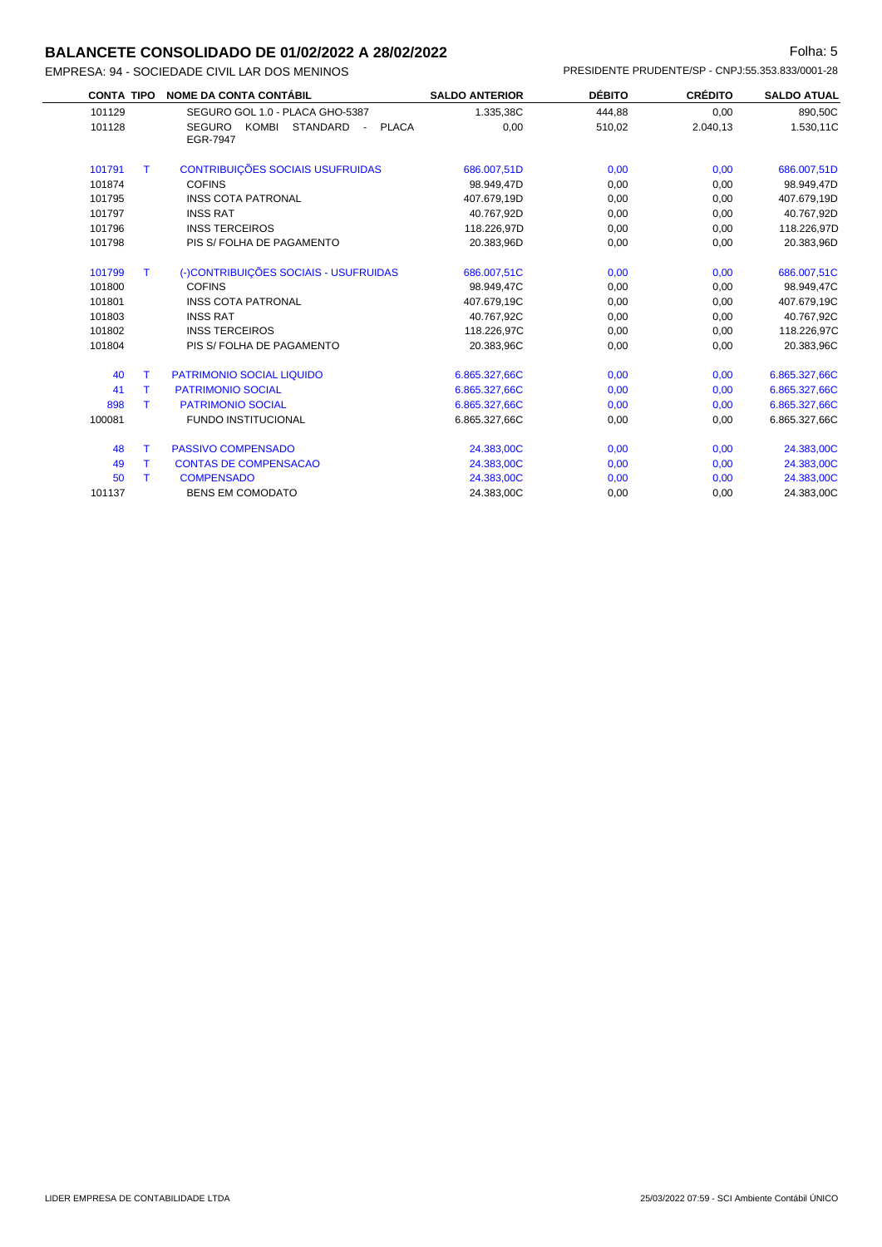#### **BALANCETE CONSOLIDADO DE 01/02/2022 A 28/02/2022 Folha: 5** Folha: 5

| <b>CONTA TIPO</b> |    | <b>NOME DA CONTA CONTÁBIL</b>                                                | <b>SALDO ANTERIOR</b> | <b>DÉBITO</b> | <b>CRÉDITO</b> | <b>SALDO ATUAL</b> |
|-------------------|----|------------------------------------------------------------------------------|-----------------------|---------------|----------------|--------------------|
| 101129            |    | SEGURO GOL 1.0 - PLACA GHO-5387                                              | 1.335,38C             | 444,88        | 0,00           | 890,50C            |
| 101128            |    | <b>SEGURO</b><br><b>KOMBI</b><br><b>STANDARD</b><br><b>PLACA</b><br>EGR-7947 | 0,00                  | 510,02        | 2.040,13       | 1.530,11C          |
| 101791            | т  | CONTRIBUIÇÕES SOCIAIS USUFRUIDAS                                             | 686.007,51D           | 0,00          | 0,00           | 686.007,51D        |
| 101874            |    | <b>COFINS</b>                                                                | 98.949.47D            | 0,00          | 0,00           | 98.949,47D         |
| 101795            |    | <b>INSS COTA PATRONAL</b>                                                    | 407.679.19D           | 0,00          | 0,00           | 407.679,19D        |
| 101797            |    | <b>INSS RAT</b>                                                              | 40.767,92D            | 0,00          | 0.00           | 40.767,92D         |
| 101796            |    | <b>INSS TERCEIROS</b>                                                        | 118.226,97D           | 0,00          | 0,00           | 118.226,97D        |
| 101798            |    | PIS S/FOLHA DE PAGAMENTO                                                     | 20.383.96D            | 0,00          | 0,00           | 20.383.96D         |
| 101799            | T. | (-)CONTRIBUICÕES SOCIAIS - USUFRUIDAS                                        | 686.007,51C           | 0.00          | 0.00           | 686.007,51C        |
| 101800            |    | <b>COFINS</b>                                                                | 98.949.47C            | 0.00          | 0,00           | 98.949,47C         |
| 101801            |    | <b>INSS COTA PATRONAL</b>                                                    | 407.679,19C           | 0,00          | 0,00           | 407.679,19C        |
| 101803            |    | <b>INSS RAT</b>                                                              | 40.767.92C            | 0,00          | 0,00           | 40.767,92C         |
| 101802            |    | <b>INSS TERCEIROS</b>                                                        | 118.226,97C           | 0,00          | 0,00           | 118.226,97C        |
| 101804            |    | PIS S/ FOLHA DE PAGAMENTO                                                    | 20.383,96C            | 0,00          | 0,00           | 20.383,96C         |
| 40                |    | <b>PATRIMONIO SOCIAL LIQUIDO</b>                                             | 6.865.327,66C         | 0,00          | 0,00           | 6.865.327,66C      |
| 41                | т  | <b>PATRIMONIO SOCIAL</b>                                                     | 6.865.327,66C         | 0,00          | 0,00           | 6.865.327,66C      |
| 898               |    | <b>PATRIMONIO SOCIAL</b>                                                     | 6.865.327,66C         | 0,00          | 0.00           | 6.865.327,66C      |
| 100081            |    | <b>FUNDO INSTITUCIONAL</b>                                                   | 6.865.327,66C         | 0,00          | 0.00           | 6.865.327.66C      |

| <b>TUUUO L</b> | FUNDU INƏTITUGIUNAL          | 0.000.027.00U | v.vv | v.vv | 0.000.027,000 |
|----------------|------------------------------|---------------|------|------|---------------|
| 48             | <b>PASSIVO COMPENSADO</b>    | 24.383.00C    | 0.00 | 0.00 | 24.383,00C    |
| 49             | <b>CONTAS DE COMPENSACAO</b> | 24.383.00C    | 0.00 | 0.00 | 24.383,00C    |
| 50             | <b>COMPENSADO</b>            | 24.383.00C    | 0.00 | 0.00 | 24.383,00C    |
| 101137         | <b>BENS EM COMODATO</b>      | 24.383.00C    | 0.00 | 0.00 | 24.383,00C    |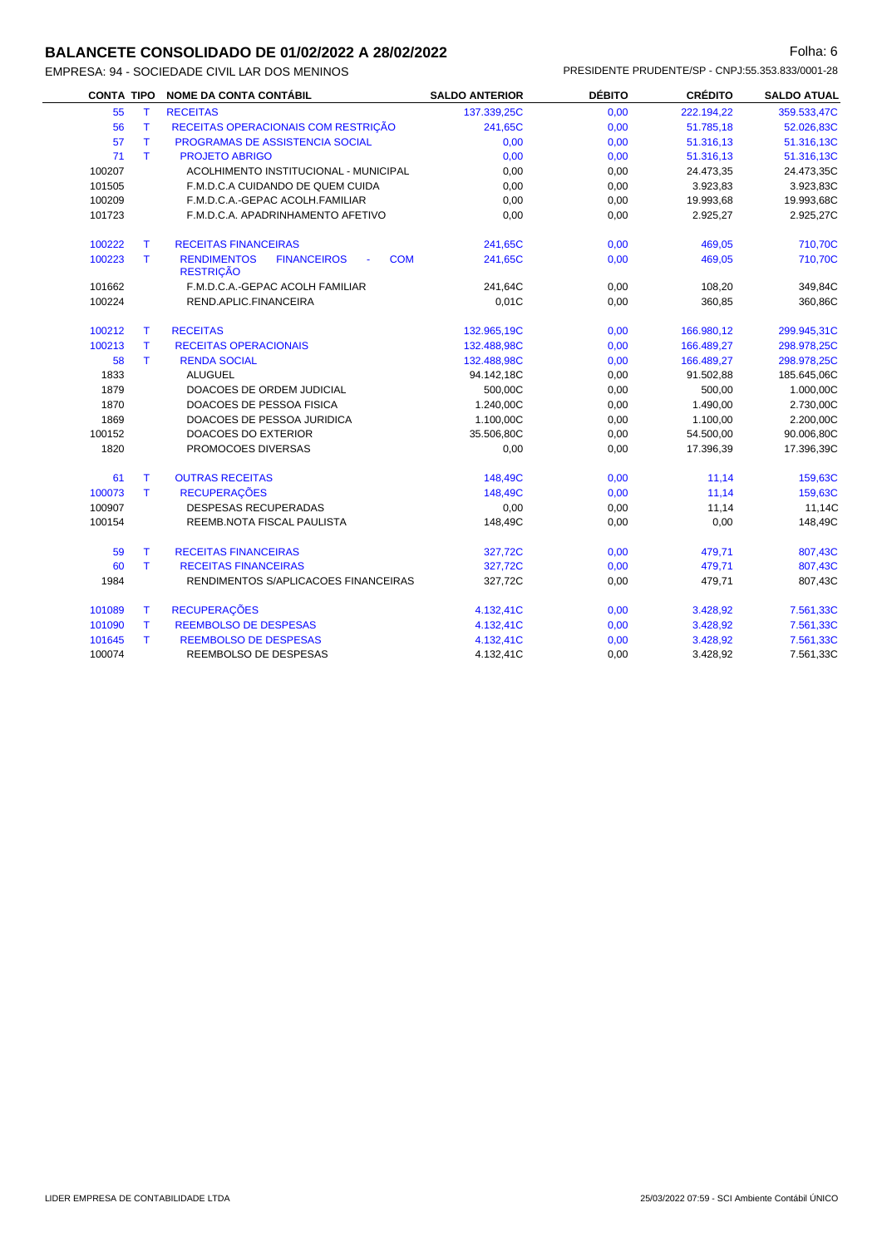## **BALANCETE CONSOLIDADO DE 01/02/2022 A 28/02/2022 Folha: 6** Folha: 6

| <b>CONTA TIPO</b> |              | NOME DA CONTA CONTÁBIL                                                                 | <b>SALDO ANTERIOR</b> | <b>DÉBITO</b> | <b>CRÉDITO</b> | <b>SALDO ATUAL</b> |
|-------------------|--------------|----------------------------------------------------------------------------------------|-----------------------|---------------|----------------|--------------------|
| 55                | $\mathsf{T}$ | <b>RECEITAS</b>                                                                        | 137.339,25C           | 0,00          | 222.194,22     | 359.533,47C        |
| 56                | T            | RECEITAS OPERACIONAIS COM RESTRIÇÃO                                                    | 241,65C               | 0,00          | 51.785,18      | 52.026,83C         |
| 57                | $\mathsf{T}$ | PROGRAMAS DE ASSISTENCIA SOCIAL                                                        | 0,00                  | 0,00          | 51.316,13      | 51.316,13C         |
| 71                | T.           | <b>PROJETO ABRIGO</b>                                                                  | 0,00                  | 0,00          | 51.316,13      | 51.316,13C         |
| 100207            |              | ACOLHIMENTO INSTITUCIONAL - MUNICIPAL                                                  | 0,00                  | 0,00          | 24.473,35      | 24.473,35C         |
| 101505            |              | F.M.D.C.A CUIDANDO DE QUEM CUIDA                                                       | 0,00                  | 0,00          | 3.923,83       | 3.923,83C          |
| 100209            |              | F.M.D.C.A.-GEPAC ACOLH.FAMILIAR                                                        | 0,00                  | 0,00          | 19.993,68      | 19.993,68C         |
| 101723            |              | F.M.D.C.A. APADRINHAMENTO AFETIVO                                                      | 0,00                  | 0,00          | 2.925,27       | 2.925,27C          |
| 100222            | $\mathsf{T}$ | <b>RECEITAS FINANCEIRAS</b>                                                            | 241,65C               | 0,00          | 469,05         | 710,70C            |
| 100223            | T.           | <b>RENDIMENTOS</b><br><b>COM</b><br><b>FINANCEIROS</b><br>$\omega$<br><b>RESTRIÇÃO</b> | 241,65C               | 0,00          | 469,05         | 710,70C            |
| 101662            |              | F.M.D.C.A.-GEPAC ACOLH FAMILIAR                                                        | 241,64C               | 0,00          | 108,20         | 349,84C            |
| 100224            |              | REND.APLIC.FINANCEIRA                                                                  | 0,01C                 | 0,00          | 360,85         | 360,86C            |
| 100212            | T.           | <b>RECEITAS</b>                                                                        | 132.965,19C           | 0,00          | 166.980,12     | 299.945,31C        |
| 100213            | T.           | <b>RECEITAS OPERACIONAIS</b>                                                           | 132.488,98C           | 0,00          | 166.489,27     | 298.978,25C        |
| 58                | T.           | <b>RENDA SOCIAL</b>                                                                    | 132.488,98C           | 0,00          | 166.489,27     | 298.978,25C        |
| 1833              |              | <b>ALUGUEL</b>                                                                         | 94.142,18C            | 0,00          | 91.502,88      | 185.645,06C        |
| 1879              |              | DOACOES DE ORDEM JUDICIAL                                                              | 500,00C               | 0,00          | 500,00         | 1.000,00C          |
| 1870              |              | DOACOES DE PESSOA FISICA                                                               | 1.240,00C             | 0,00          | 1.490,00       | 2.730,00C          |
| 1869              |              | DOACOES DE PESSOA JURIDICA                                                             | 1.100,00C             | 0,00          | 1.100,00       | 2.200,00C          |
| 100152            |              | DOACOES DO EXTERIOR                                                                    | 35.506,80C            | 0,00          | 54.500,00      | 90.006,80C         |
| 1820              |              | PROMOCOES DIVERSAS                                                                     | 0,00                  | 0,00          | 17.396,39      | 17.396,39C         |
| 61                | T.           | <b>OUTRAS RECEITAS</b>                                                                 | 148,49C               | 0,00          | 11,14          | 159,63C            |
| 100073            | T.           | <b>RECUPERAÇÕES</b>                                                                    | 148,49C               | 0,00          | 11,14          | 159,63C            |
| 100907            |              | <b>DESPESAS RECUPERADAS</b>                                                            | 0,00                  | 0,00          | 11,14          | 11,14C             |
| 100154            |              | REEMB.NOTA FISCAL PAULISTA                                                             | 148.49C               | 0,00          | 0,00           | 148,49C            |
| 59                | T.           | <b>RECEITAS FINANCEIRAS</b>                                                            | 327,72C               | 0,00          | 479,71         | 807,43C            |
| 60                | T.           | <b>RECEITAS FINANCEIRAS</b>                                                            | 327,72C               | 0,00          | 479,71         | 807,43C            |
| 1984              |              | RENDIMENTOS S/APLICACOES FINANCEIRAS                                                   | 327,72C               | 0,00          | 479,71         | 807,43C            |
| 101089            | T.           | <b>RECUPERAÇÕES</b>                                                                    | 4.132,41C             | 0,00          | 3.428,92       | 7.561,33C          |
| 101090            | T.           | <b>REEMBOLSO DE DESPESAS</b>                                                           | 4.132,41C             | 0,00          | 3.428,92       | 7.561,33C          |
| 101645            | T.           | <b>REEMBOLSO DE DESPESAS</b>                                                           | 4.132,41C             | 0,00          | 3.428,92       | 7.561,33C          |
| 100074            |              | REEMBOLSO DE DESPESAS                                                                  | 4.132,41C             | 0,00          | 3.428,92       | 7.561,33C          |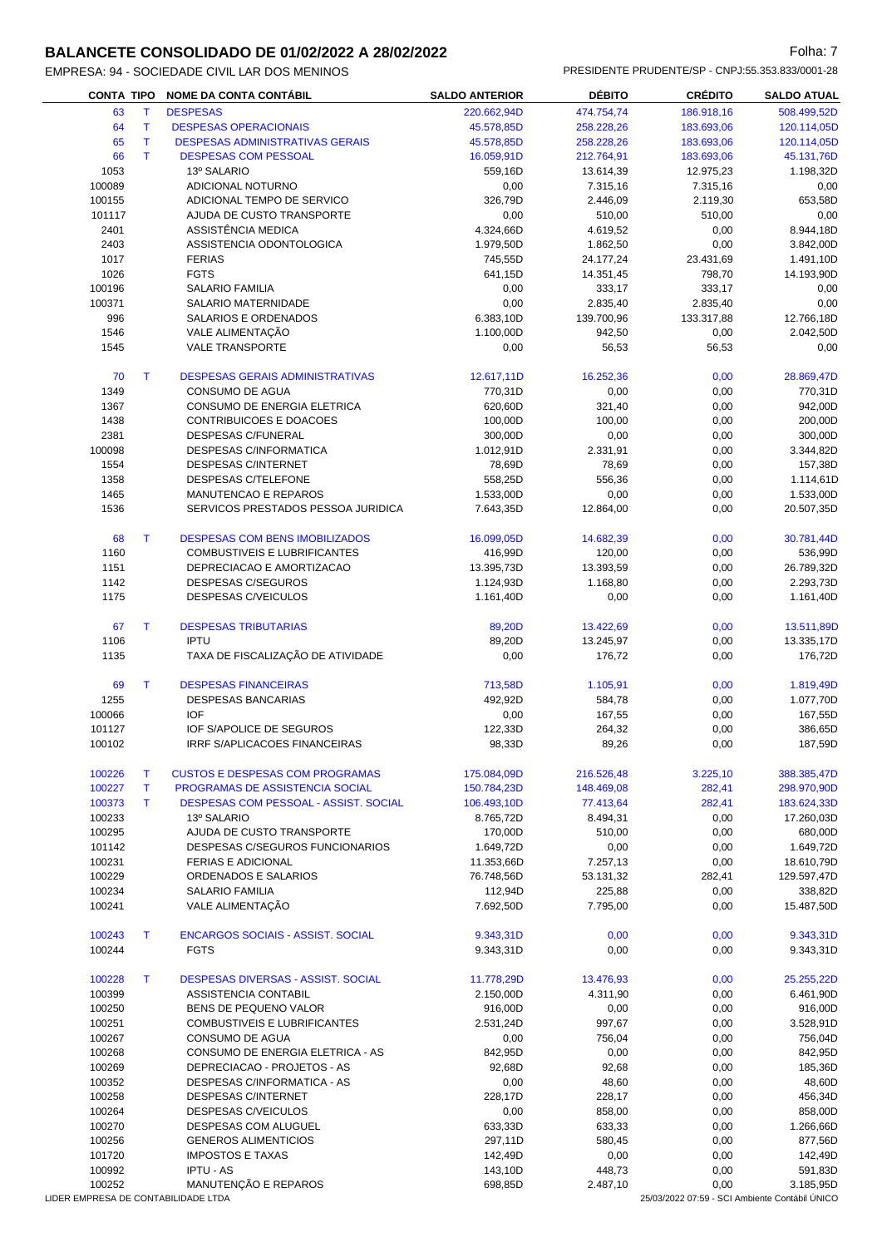# **BALANCETE CONSOLIDADO DE 01/02/2022 A 28/02/2022 Folha: 7** Folha: 7

| <b>CONTA TIPO</b> |              | <b>NOME DA CONTA CONTÁBIL</b>          | <b>SALDO ANTERIOR</b> | <b>DÉBITO</b> | <b>CRÉDITO</b> | <b>SALDO ATUAL</b> |
|-------------------|--------------|----------------------------------------|-----------------------|---------------|----------------|--------------------|
| 63                | T            | <b>DESPESAS</b>                        | 220.662,94D           | 474.754,74    | 186.918,16     | 508.499,52D        |
| 64                | т            | <b>DESPESAS OPERACIONAIS</b>           | 45.578,85D            | 258.228,26    | 183.693,06     | 120.114,05D        |
| 65                | T            | <b>DESPESAS ADMINISTRATIVAS GERAIS</b> | 45.578,85D            | 258.228,26    | 183.693,06     | 120.114,05D        |
| 66                | T.           | <b>DESPESAS COM PESSOAL</b>            | 16.059,91D            | 212.764,91    | 183.693,06     | 45.131,76D         |
| 1053              |              | 13º SALARIO                            | 559,16D               | 13.614,39     | 12.975,23      | 1.198,32D          |
| 100089            |              | ADICIONAL NOTURNO                      | 0,00                  | 7.315,16      | 7.315,16       | 0,00               |
| 100155            |              | ADICIONAL TEMPO DE SERVICO             | 326,79D               | 2.446,09      | 2.119,30       | 653,58D            |
| 101117            |              | AJUDA DE CUSTO TRANSPORTE              | 0,00                  | 510,00        | 510,00         | 0,00               |
| 2401              |              | ASSISTÊNCIA MEDICA                     | 4.324,66D             | 4.619,52      | 0,00           | 8.944,18D          |
| 2403              |              | ASSISTENCIA ODONTOLOGICA               | 1.979,50D             | 1.862,50      | 0,00           | 3.842,00D          |
| 1017              |              | <b>FERIAS</b>                          | 745,55D               | 24.177,24     | 23.431,69      | 1.491,10D          |
| 1026              |              | <b>FGTS</b>                            | 641,15D               | 14.351,45     | 798,70         | 14.193,90D         |
| 100196            |              | <b>SALARIO FAMILIA</b>                 | 0,00                  | 333,17        | 333,17         | 0,00               |
| 100371            |              | SALARIO MATERNIDADE                    | 0,00                  | 2.835,40      | 2.835,40       | 0,00               |
|                   |              |                                        |                       |               |                |                    |
| 996               |              | SALARIOS E ORDENADOS                   | 6.383,10D             | 139.700,96    | 133.317,88     | 12.766,18D         |
| 1546              |              | VALE ALIMENTAÇÃO                       | 1.100,00D             | 942,50        | 0,00           | 2.042,50D          |
| 1545              |              | <b>VALE TRANSPORTE</b>                 | 0,00                  | 56,53         | 56,53          | 0,00               |
| 70                | T            | <b>DESPESAS GERAIS ADMINISTRATIVAS</b> | 12.617,11D            | 16.252,36     | 0,00           | 28.869,47D         |
| 1349              |              | CONSUMO DE AGUA                        | 770,31D               | 0,00          | 0,00           | 770,31D            |
| 1367              |              | CONSUMO DE ENERGIA ELETRICA            | 620,60D               | 321,40        | 0,00           | 942,00D            |
| 1438              |              | CONTRIBUICOES E DOACOES                | 100,00D               | 100,00        | 0,00           | 200,00D            |
| 2381              |              | DESPESAS C/FUNERAL                     | 300,00D               | 0,00          | 0,00           | 300,00D            |
| 100098            |              | <b>DESPESAS C/INFORMATICA</b>          | 1.012,91D             | 2.331,91      | 0,00           | 3.344,82D          |
| 1554              |              | <b>DESPESAS C/INTERNET</b>             | 78,69D                | 78,69         | 0,00           | 157,38D            |
| 1358              |              | <b>DESPESAS C/TELEFONE</b>             | 558,25D               | 556,36        | 0,00           | 1.114,61D          |
| 1465              |              | MANUTENCAO E REPAROS                   | 1.533,00D             | 0,00          | 0,00           | 1.533,00D          |
| 1536              |              | SERVICOS PRESTADOS PESSOA JURIDICA     | 7.643,35D             | 12.864,00     | 0,00           | 20.507,35D         |
| 68                | $\mathsf{T}$ | <b>DESPESAS COM BENS IMOBILIZADOS</b>  | 16.099,05D            | 14.682,39     | 0,00           | 30.781,44D         |
| 1160              |              | COMBUSTIVEIS E LUBRIFICANTES           | 416,99D               | 120,00        | 0,00           | 536,99D            |
| 1151              |              | DEPRECIACAO E AMORTIZACAO              | 13.395,73D            | 13.393,59     | 0,00           | 26.789,32D         |
| 1142              |              | DESPESAS C/SEGUROS                     | 1.124,93D             | 1.168,80      | 0,00           | 2.293,73D          |
| 1175              |              | DESPESAS C/VEICULOS                    | 1.161,40D             | 0,00          | 0,00           | 1.161,40D          |
|                   |              |                                        |                       |               |                |                    |
| 67                | T.           | <b>DESPESAS TRIBUTARIAS</b>            | 89,20D                | 13.422,69     | 0,00           | 13.511,89D         |
| 1106              |              | <b>IPTU</b>                            | 89,20D                | 13.245,97     | 0,00           | 13.335,17D         |
| 1135              |              | TAXA DE FISCALIZAÇÃO DE ATIVIDADE      | 0,00                  | 176,72        | 0,00           | 176,72D            |
| 69                | $\mathsf{T}$ | <b>DESPESAS FINANCEIRAS</b>            | 713,58D               | 1.105,91      | 0,00           | 1.819,49D          |
| 1255              |              | <b>DESPESAS BANCARIAS</b>              | 492,92D               | 584,78        | 0,00           | 1.077,70D          |
| 100066            |              | <b>IOF</b>                             | 0,00                  | 167,55        | 0,00           | 167,55D            |
| 101127            |              | <b>IOF S/APOLICE DE SEGUROS</b>        | 122,33D               | 264,32        | 0,00           | 386,65D            |
| 100102            |              | <b>IRRF S/APLICACOES FINANCEIRAS</b>   | 98,33D                | 89,26         | 0,00           | 187,59D            |
| 100226            | т            | <b>CUSTOS E DESPESAS COM PROGRAMAS</b> | 175.084,09D           | 216.526,48    | 3.225,10       | 388.385,47D        |
| 100227            | Τ            | PROGRAMAS DE ASSISTENCIA SOCIAL        | 150.784,23D           | 148.469,08    | 282,41         | 298.970,90D        |
| 100373            | Τ            | DESPESAS COM PESSOAL - ASSIST. SOCIAL  | 106.493,10D           | 77.413,64     | 282,41         | 183.624,33D        |
| 100233            |              | 13º SALARIO                            | 8.765,72D             | 8.494,31      | 0,00           | 17.260,03D         |
| 100295            |              | AJUDA DE CUSTO TRANSPORTE              | 170,00D               | 510,00        | 0,00           | 680,00D            |
| 101142            |              | DESPESAS C/SEGUROS FUNCIONARIOS        | 1.649,72D             | 0,00          | 0,00           | 1.649,72D          |
| 100231            |              | <b>FERIAS E ADICIONAL</b>              |                       |               |                | 18.610,79D         |
|                   |              | ORDENADOS E SALARIOS                   | 11.353,66D            | 7.257,13      | 0,00           |                    |
| 100229            |              |                                        | 76.748,56D            | 53.131,32     | 282,41         | 129.597,47D        |
| 100234            |              | <b>SALARIO FAMILIA</b>                 | 112,94D               | 225,88        | 0,00           | 338,82D            |
| 100241            |              | VALE ALIMENTAÇÃO                       | 7.692,50D             | 7.795,00      | 0,00           | 15.487,50D         |

| DESPESAS DIVERSAS - ASSIST, SOCIAL | 11.778,29D | 13.476.93 | 0,00 | 25.255,22D |
|------------------------------------|------------|-----------|------|------------|
| ASSISTENCIA CONTABIL               | 2.150.00D  | 4.311.90  | 0.00 | 6.461,90D  |
| BENS DE PEQUENO VALOR              | 916,00D    | 0,00      | 0,00 | 916.00D    |
| COMBUSTIVEIS E LUBRIFICANTES       | 2.531.24D  | 997.67    | 0,00 | 3.528.91D  |
| CONSUMO DE AGUA                    | 0,00       | 756,04    | 0,00 | 756.04D    |
| CONSUMO DE ENERGIA ELETRICA - AS   | 842.95D    | 0,00      | 0,00 | 842,95D    |
| DEPRECIACAO - PROJETOS - AS        | 92.68D     | 92,68     | 0,00 | 185,36D    |
| DESPESAS C/INFORMATICA - AS        | 0,00       | 48.60     | 0,00 | 48.60D     |
| <b>DESPESAS C/INTERNET</b>         | 228.17D    | 228.17    | 0,00 | 456.34D    |
| DESPESAS C/VEICULOS                | 0,00       | 858.00    | 0,00 | 858,00D    |
| <b>DESPESAS COM ALUGUEL</b>        | 633.33D    | 633.33    | 0.00 | 1.266.66D  |
| <b>GENEROS ALIMENTICIOS</b>        | 297.11D    | 580.45    | 0.00 | 877.56D    |
|                                    |            |           |      |            |

 T ENCARGOS SOCIAIS - ASSIST. SOCIAL 9.343,31D 0,00 0,00 9.343,31D FGTS 9.343,31D 0,00 0,00 9.343,31D

101720 IMPOSTOS E TAXAS 142,49D 0,00 0,00 142,49D 100992 IPTU - AS 143,10D 448,73 0,00 591,83D

100252 MANUTENÇÃO E REPAROS 698,85D 2.487,10 0.00 698,85D 1DER EMPRESA DE CONTABILIDADE LTDA 1997 AND CONTABILIDADE LTDA

25/03/2022 07:59 - SCI Ambiente Contábil ÚNICO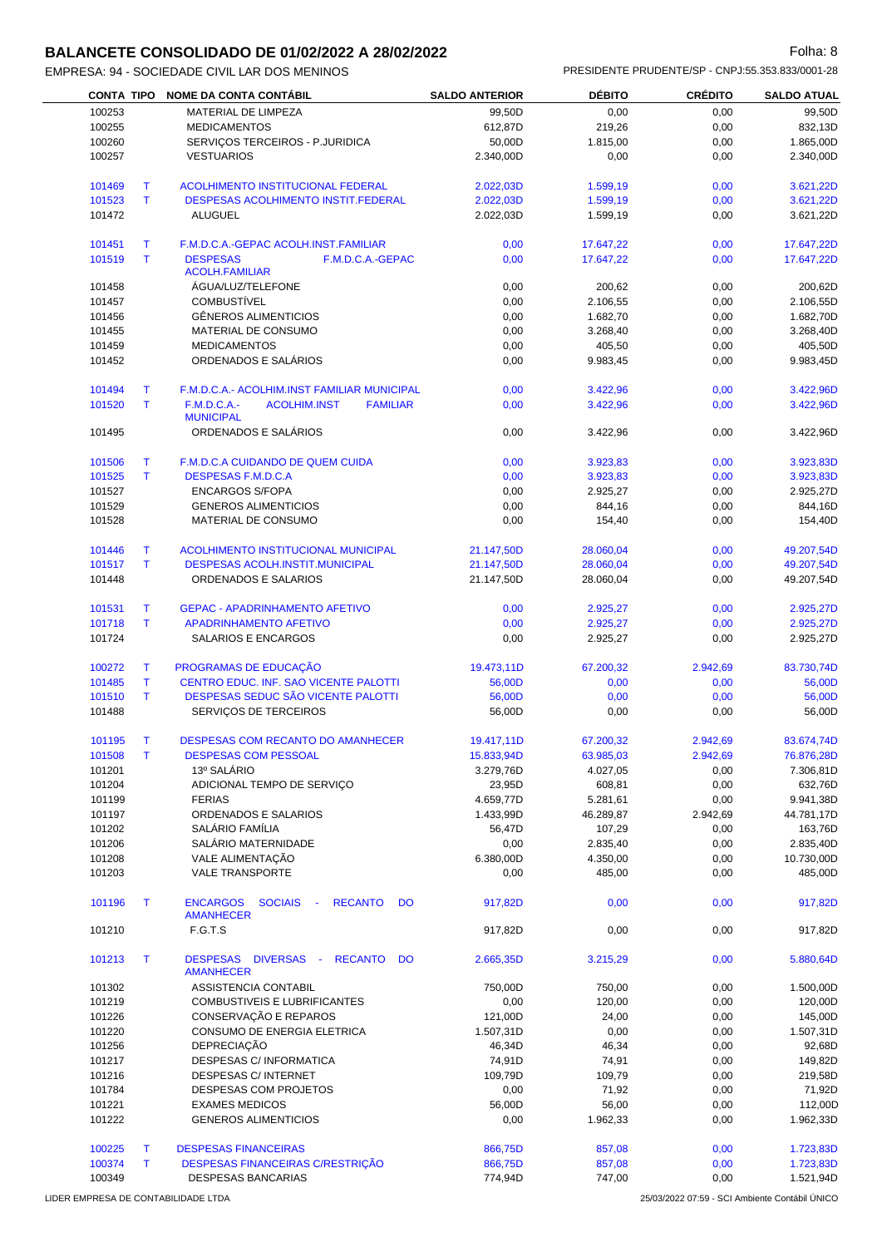#### **BALANCETE CONSOLIDADO DE 01/02/2022 A 28/02/2022 Folha: 8** Folha: 8

| EMPRESA: 94 - SOCIEDADE CIVIL LAR DOS MENINOS |                       | PRESIDENTE PRUDENTE/SP - CNPJ:55.353.833/0001-28 |                |                    |
|-----------------------------------------------|-----------------------|--------------------------------------------------|----------------|--------------------|
| CONTA TIPO NOME DA CONTA CONTÁBIL             | <b>SALDO ANTERIOR</b> | <b>DÉBITO</b>                                    | <b>CREDITO</b> | <b>SALDO ATUAL</b> |

|             | <b>NOME DA CONTA CONTÁBIL</b>                                                                                                                                                                                                                                                                                                                                                               |                                                                                                                                                                                                                                                                                                                                                                                                                                                                                                                                                                                                                                                                                                                                                                                                                                                                                                                                                                                                           |                                                                                                                                                                                                                                                                                                                                                          |                                                                                                                                                                                                                                                                                                                                                                             | <b>SALDO ATUAL</b>                                                                                                                                                                                                                                                                         |
|-------------|---------------------------------------------------------------------------------------------------------------------------------------------------------------------------------------------------------------------------------------------------------------------------------------------------------------------------------------------------------------------------------------------|-----------------------------------------------------------------------------------------------------------------------------------------------------------------------------------------------------------------------------------------------------------------------------------------------------------------------------------------------------------------------------------------------------------------------------------------------------------------------------------------------------------------------------------------------------------------------------------------------------------------------------------------------------------------------------------------------------------------------------------------------------------------------------------------------------------------------------------------------------------------------------------------------------------------------------------------------------------------------------------------------------------|----------------------------------------------------------------------------------------------------------------------------------------------------------------------------------------------------------------------------------------------------------------------------------------------------------------------------------------------------------|-----------------------------------------------------------------------------------------------------------------------------------------------------------------------------------------------------------------------------------------------------------------------------------------------------------------------------------------------------------------------------|--------------------------------------------------------------------------------------------------------------------------------------------------------------------------------------------------------------------------------------------------------------------------------------------|
|             |                                                                                                                                                                                                                                                                                                                                                                                             |                                                                                                                                                                                                                                                                                                                                                                                                                                                                                                                                                                                                                                                                                                                                                                                                                                                                                                                                                                                                           |                                                                                                                                                                                                                                                                                                                                                          |                                                                                                                                                                                                                                                                                                                                                                             | 99,50D                                                                                                                                                                                                                                                                                     |
|             |                                                                                                                                                                                                                                                                                                                                                                                             |                                                                                                                                                                                                                                                                                                                                                                                                                                                                                                                                                                                                                                                                                                                                                                                                                                                                                                                                                                                                           |                                                                                                                                                                                                                                                                                                                                                          |                                                                                                                                                                                                                                                                                                                                                                             | 832,13D                                                                                                                                                                                                                                                                                    |
|             |                                                                                                                                                                                                                                                                                                                                                                                             |                                                                                                                                                                                                                                                                                                                                                                                                                                                                                                                                                                                                                                                                                                                                                                                                                                                                                                                                                                                                           |                                                                                                                                                                                                                                                                                                                                                          |                                                                                                                                                                                                                                                                                                                                                                             | 1.865,00D                                                                                                                                                                                                                                                                                  |
|             |                                                                                                                                                                                                                                                                                                                                                                                             |                                                                                                                                                                                                                                                                                                                                                                                                                                                                                                                                                                                                                                                                                                                                                                                                                                                                                                                                                                                                           |                                                                                                                                                                                                                                                                                                                                                          |                                                                                                                                                                                                                                                                                                                                                                             |                                                                                                                                                                                                                                                                                            |
|             |                                                                                                                                                                                                                                                                                                                                                                                             |                                                                                                                                                                                                                                                                                                                                                                                                                                                                                                                                                                                                                                                                                                                                                                                                                                                                                                                                                                                                           |                                                                                                                                                                                                                                                                                                                                                          |                                                                                                                                                                                                                                                                                                                                                                             | 2.340,00D                                                                                                                                                                                                                                                                                  |
|             |                                                                                                                                                                                                                                                                                                                                                                                             |                                                                                                                                                                                                                                                                                                                                                                                                                                                                                                                                                                                                                                                                                                                                                                                                                                                                                                                                                                                                           |                                                                                                                                                                                                                                                                                                                                                          |                                                                                                                                                                                                                                                                                                                                                                             |                                                                                                                                                                                                                                                                                            |
|             |                                                                                                                                                                                                                                                                                                                                                                                             |                                                                                                                                                                                                                                                                                                                                                                                                                                                                                                                                                                                                                                                                                                                                                                                                                                                                                                                                                                                                           |                                                                                                                                                                                                                                                                                                                                                          | 0,00                                                                                                                                                                                                                                                                                                                                                                        | 3.621,22D                                                                                                                                                                                                                                                                                  |
| T<br>101523 | <b>DESPESAS ACOLHIMENTO INSTIT.FEDERAL</b>                                                                                                                                                                                                                                                                                                                                                  | 2.022,03D                                                                                                                                                                                                                                                                                                                                                                                                                                                                                                                                                                                                                                                                                                                                                                                                                                                                                                                                                                                                 | 1.599,19                                                                                                                                                                                                                                                                                                                                                 | 0,00                                                                                                                                                                                                                                                                                                                                                                        | 3.621,22D                                                                                                                                                                                                                                                                                  |
| 101472      | <b>ALUGUEL</b>                                                                                                                                                                                                                                                                                                                                                                              |                                                                                                                                                                                                                                                                                                                                                                                                                                                                                                                                                                                                                                                                                                                                                                                                                                                                                                                                                                                                           | 1.599,19                                                                                                                                                                                                                                                                                                                                                 |                                                                                                                                                                                                                                                                                                                                                                             | 3.621,22D                                                                                                                                                                                                                                                                                  |
|             |                                                                                                                                                                                                                                                                                                                                                                                             |                                                                                                                                                                                                                                                                                                                                                                                                                                                                                                                                                                                                                                                                                                                                                                                                                                                                                                                                                                                                           |                                                                                                                                                                                                                                                                                                                                                          |                                                                                                                                                                                                                                                                                                                                                                             |                                                                                                                                                                                                                                                                                            |
|             |                                                                                                                                                                                                                                                                                                                                                                                             |                                                                                                                                                                                                                                                                                                                                                                                                                                                                                                                                                                                                                                                                                                                                                                                                                                                                                                                                                                                                           |                                                                                                                                                                                                                                                                                                                                                          |                                                                                                                                                                                                                                                                                                                                                                             | 17.647,22D                                                                                                                                                                                                                                                                                 |
|             |                                                                                                                                                                                                                                                                                                                                                                                             |                                                                                                                                                                                                                                                                                                                                                                                                                                                                                                                                                                                                                                                                                                                                                                                                                                                                                                                                                                                                           |                                                                                                                                                                                                                                                                                                                                                          |                                                                                                                                                                                                                                                                                                                                                                             |                                                                                                                                                                                                                                                                                            |
|             |                                                                                                                                                                                                                                                                                                                                                                                             |                                                                                                                                                                                                                                                                                                                                                                                                                                                                                                                                                                                                                                                                                                                                                                                                                                                                                                                                                                                                           |                                                                                                                                                                                                                                                                                                                                                          |                                                                                                                                                                                                                                                                                                                                                                             | 17.647,22D                                                                                                                                                                                                                                                                                 |
|             |                                                                                                                                                                                                                                                                                                                                                                                             |                                                                                                                                                                                                                                                                                                                                                                                                                                                                                                                                                                                                                                                                                                                                                                                                                                                                                                                                                                                                           |                                                                                                                                                                                                                                                                                                                                                          |                                                                                                                                                                                                                                                                                                                                                                             |                                                                                                                                                                                                                                                                                            |
|             |                                                                                                                                                                                                                                                                                                                                                                                             |                                                                                                                                                                                                                                                                                                                                                                                                                                                                                                                                                                                                                                                                                                                                                                                                                                                                                                                                                                                                           |                                                                                                                                                                                                                                                                                                                                                          |                                                                                                                                                                                                                                                                                                                                                                             | 200,62D                                                                                                                                                                                                                                                                                    |
|             |                                                                                                                                                                                                                                                                                                                                                                                             |                                                                                                                                                                                                                                                                                                                                                                                                                                                                                                                                                                                                                                                                                                                                                                                                                                                                                                                                                                                                           |                                                                                                                                                                                                                                                                                                                                                          |                                                                                                                                                                                                                                                                                                                                                                             | 2.106,55D                                                                                                                                                                                                                                                                                  |
| 101456      | <b>GÊNEROS ALIMENTICIOS</b>                                                                                                                                                                                                                                                                                                                                                                 | 0,00                                                                                                                                                                                                                                                                                                                                                                                                                                                                                                                                                                                                                                                                                                                                                                                                                                                                                                                                                                                                      | 1.682,70                                                                                                                                                                                                                                                                                                                                                 | 0,00                                                                                                                                                                                                                                                                                                                                                                        | 1.682,70D                                                                                                                                                                                                                                                                                  |
| 101455      | MATERIAL DE CONSUMO                                                                                                                                                                                                                                                                                                                                                                         |                                                                                                                                                                                                                                                                                                                                                                                                                                                                                                                                                                                                                                                                                                                                                                                                                                                                                                                                                                                                           |                                                                                                                                                                                                                                                                                                                                                          |                                                                                                                                                                                                                                                                                                                                                                             | 3.268,40D                                                                                                                                                                                                                                                                                  |
|             |                                                                                                                                                                                                                                                                                                                                                                                             |                                                                                                                                                                                                                                                                                                                                                                                                                                                                                                                                                                                                                                                                                                                                                                                                                                                                                                                                                                                                           |                                                                                                                                                                                                                                                                                                                                                          |                                                                                                                                                                                                                                                                                                                                                                             | 405,50D                                                                                                                                                                                                                                                                                    |
|             |                                                                                                                                                                                                                                                                                                                                                                                             |                                                                                                                                                                                                                                                                                                                                                                                                                                                                                                                                                                                                                                                                                                                                                                                                                                                                                                                                                                                                           |                                                                                                                                                                                                                                                                                                                                                          |                                                                                                                                                                                                                                                                                                                                                                             | 9.983,45D                                                                                                                                                                                                                                                                                  |
|             |                                                                                                                                                                                                                                                                                                                                                                                             |                                                                                                                                                                                                                                                                                                                                                                                                                                                                                                                                                                                                                                                                                                                                                                                                                                                                                                                                                                                                           |                                                                                                                                                                                                                                                                                                                                                          |                                                                                                                                                                                                                                                                                                                                                                             |                                                                                                                                                                                                                                                                                            |
|             |                                                                                                                                                                                                                                                                                                                                                                                             |                                                                                                                                                                                                                                                                                                                                                                                                                                                                                                                                                                                                                                                                                                                                                                                                                                                                                                                                                                                                           |                                                                                                                                                                                                                                                                                                                                                          |                                                                                                                                                                                                                                                                                                                                                                             |                                                                                                                                                                                                                                                                                            |
|             |                                                                                                                                                                                                                                                                                                                                                                                             |                                                                                                                                                                                                                                                                                                                                                                                                                                                                                                                                                                                                                                                                                                                                                                                                                                                                                                                                                                                                           |                                                                                                                                                                                                                                                                                                                                                          |                                                                                                                                                                                                                                                                                                                                                                             | 3.422,96D                                                                                                                                                                                                                                                                                  |
| 101520      | <b>ACOLHIM.INST</b><br><b>FAMILIAR</b>                                                                                                                                                                                                                                                                                                                                                      | 0,00                                                                                                                                                                                                                                                                                                                                                                                                                                                                                                                                                                                                                                                                                                                                                                                                                                                                                                                                                                                                      |                                                                                                                                                                                                                                                                                                                                                          |                                                                                                                                                                                                                                                                                                                                                                             | 3.422,96D                                                                                                                                                                                                                                                                                  |
|             |                                                                                                                                                                                                                                                                                                                                                                                             |                                                                                                                                                                                                                                                                                                                                                                                                                                                                                                                                                                                                                                                                                                                                                                                                                                                                                                                                                                                                           |                                                                                                                                                                                                                                                                                                                                                          |                                                                                                                                                                                                                                                                                                                                                                             |                                                                                                                                                                                                                                                                                            |
| 101495      | ORDENADOS E SALÁRIOS                                                                                                                                                                                                                                                                                                                                                                        | 0,00                                                                                                                                                                                                                                                                                                                                                                                                                                                                                                                                                                                                                                                                                                                                                                                                                                                                                                                                                                                                      | 3.422,96                                                                                                                                                                                                                                                                                                                                                 | 0,00                                                                                                                                                                                                                                                                                                                                                                        | 3.422,96D                                                                                                                                                                                                                                                                                  |
|             |                                                                                                                                                                                                                                                                                                                                                                                             |                                                                                                                                                                                                                                                                                                                                                                                                                                                                                                                                                                                                                                                                                                                                                                                                                                                                                                                                                                                                           |                                                                                                                                                                                                                                                                                                                                                          |                                                                                                                                                                                                                                                                                                                                                                             |                                                                                                                                                                                                                                                                                            |
|             |                                                                                                                                                                                                                                                                                                                                                                                             |                                                                                                                                                                                                                                                                                                                                                                                                                                                                                                                                                                                                                                                                                                                                                                                                                                                                                                                                                                                                           |                                                                                                                                                                                                                                                                                                                                                          |                                                                                                                                                                                                                                                                                                                                                                             | 3.923,83D                                                                                                                                                                                                                                                                                  |
|             |                                                                                                                                                                                                                                                                                                                                                                                             |                                                                                                                                                                                                                                                                                                                                                                                                                                                                                                                                                                                                                                                                                                                                                                                                                                                                                                                                                                                                           |                                                                                                                                                                                                                                                                                                                                                          |                                                                                                                                                                                                                                                                                                                                                                             | 3.923,83D                                                                                                                                                                                                                                                                                  |
|             |                                                                                                                                                                                                                                                                                                                                                                                             |                                                                                                                                                                                                                                                                                                                                                                                                                                                                                                                                                                                                                                                                                                                                                                                                                                                                                                                                                                                                           |                                                                                                                                                                                                                                                                                                                                                          |                                                                                                                                                                                                                                                                                                                                                                             |                                                                                                                                                                                                                                                                                            |
|             |                                                                                                                                                                                                                                                                                                                                                                                             |                                                                                                                                                                                                                                                                                                                                                                                                                                                                                                                                                                                                                                                                                                                                                                                                                                                                                                                                                                                                           |                                                                                                                                                                                                                                                                                                                                                          |                                                                                                                                                                                                                                                                                                                                                                             | 2.925,27D                                                                                                                                                                                                                                                                                  |
|             |                                                                                                                                                                                                                                                                                                                                                                                             |                                                                                                                                                                                                                                                                                                                                                                                                                                                                                                                                                                                                                                                                                                                                                                                                                                                                                                                                                                                                           |                                                                                                                                                                                                                                                                                                                                                          |                                                                                                                                                                                                                                                                                                                                                                             | 844,16D                                                                                                                                                                                                                                                                                    |
| 101528      |                                                                                                                                                                                                                                                                                                                                                                                             | 0,00                                                                                                                                                                                                                                                                                                                                                                                                                                                                                                                                                                                                                                                                                                                                                                                                                                                                                                                                                                                                      | 154,40                                                                                                                                                                                                                                                                                                                                                   | 0,00                                                                                                                                                                                                                                                                                                                                                                        | 154,40D                                                                                                                                                                                                                                                                                    |
|             |                                                                                                                                                                                                                                                                                                                                                                                             |                                                                                                                                                                                                                                                                                                                                                                                                                                                                                                                                                                                                                                                                                                                                                                                                                                                                                                                                                                                                           |                                                                                                                                                                                                                                                                                                                                                          |                                                                                                                                                                                                                                                                                                                                                                             |                                                                                                                                                                                                                                                                                            |
|             |                                                                                                                                                                                                                                                                                                                                                                                             |                                                                                                                                                                                                                                                                                                                                                                                                                                                                                                                                                                                                                                                                                                                                                                                                                                                                                                                                                                                                           |                                                                                                                                                                                                                                                                                                                                                          |                                                                                                                                                                                                                                                                                                                                                                             | 49.207,54D                                                                                                                                                                                                                                                                                 |
|             |                                                                                                                                                                                                                                                                                                                                                                                             |                                                                                                                                                                                                                                                                                                                                                                                                                                                                                                                                                                                                                                                                                                                                                                                                                                                                                                                                                                                                           |                                                                                                                                                                                                                                                                                                                                                          |                                                                                                                                                                                                                                                                                                                                                                             | 49.207,54D                                                                                                                                                                                                                                                                                 |
|             |                                                                                                                                                                                                                                                                                                                                                                                             |                                                                                                                                                                                                                                                                                                                                                                                                                                                                                                                                                                                                                                                                                                                                                                                                                                                                                                                                                                                                           |                                                                                                                                                                                                                                                                                                                                                          |                                                                                                                                                                                                                                                                                                                                                                             | 49.207,54D                                                                                                                                                                                                                                                                                 |
|             |                                                                                                                                                                                                                                                                                                                                                                                             |                                                                                                                                                                                                                                                                                                                                                                                                                                                                                                                                                                                                                                                                                                                                                                                                                                                                                                                                                                                                           |                                                                                                                                                                                                                                                                                                                                                          |                                                                                                                                                                                                                                                                                                                                                                             |                                                                                                                                                                                                                                                                                            |
|             |                                                                                                                                                                                                                                                                                                                                                                                             |                                                                                                                                                                                                                                                                                                                                                                                                                                                                                                                                                                                                                                                                                                                                                                                                                                                                                                                                                                                                           |                                                                                                                                                                                                                                                                                                                                                          |                                                                                                                                                                                                                                                                                                                                                                             |                                                                                                                                                                                                                                                                                            |
|             |                                                                                                                                                                                                                                                                                                                                                                                             |                                                                                                                                                                                                                                                                                                                                                                                                                                                                                                                                                                                                                                                                                                                                                                                                                                                                                                                                                                                                           |                                                                                                                                                                                                                                                                                                                                                          |                                                                                                                                                                                                                                                                                                                                                                             | 2.925,27D                                                                                                                                                                                                                                                                                  |
| т           | <b>APADRINHAMENTO AFETIVO</b>                                                                                                                                                                                                                                                                                                                                                               | 0,00                                                                                                                                                                                                                                                                                                                                                                                                                                                                                                                                                                                                                                                                                                                                                                                                                                                                                                                                                                                                      | 2.925,27                                                                                                                                                                                                                                                                                                                                                 |                                                                                                                                                                                                                                                                                                                                                                             | 2.925,27D                                                                                                                                                                                                                                                                                  |
| 101724      | SALARIOS E ENCARGOS                                                                                                                                                                                                                                                                                                                                                                         | 0,00                                                                                                                                                                                                                                                                                                                                                                                                                                                                                                                                                                                                                                                                                                                                                                                                                                                                                                                                                                                                      | 2.925,27                                                                                                                                                                                                                                                                                                                                                 | 0,00                                                                                                                                                                                                                                                                                                                                                                        | 2.925,27D                                                                                                                                                                                                                                                                                  |
|             |                                                                                                                                                                                                                                                                                                                                                                                             |                                                                                                                                                                                                                                                                                                                                                                                                                                                                                                                                                                                                                                                                                                                                                                                                                                                                                                                                                                                                           |                                                                                                                                                                                                                                                                                                                                                          |                                                                                                                                                                                                                                                                                                                                                                             |                                                                                                                                                                                                                                                                                            |
|             |                                                                                                                                                                                                                                                                                                                                                                                             |                                                                                                                                                                                                                                                                                                                                                                                                                                                                                                                                                                                                                                                                                                                                                                                                                                                                                                                                                                                                           |                                                                                                                                                                                                                                                                                                                                                          |                                                                                                                                                                                                                                                                                                                                                                             | 83.730,74D                                                                                                                                                                                                                                                                                 |
|             |                                                                                                                                                                                                                                                                                                                                                                                             |                                                                                                                                                                                                                                                                                                                                                                                                                                                                                                                                                                                                                                                                                                                                                                                                                                                                                                                                                                                                           |                                                                                                                                                                                                                                                                                                                                                          |                                                                                                                                                                                                                                                                                                                                                                             | 56,00D                                                                                                                                                                                                                                                                                     |
|             |                                                                                                                                                                                                                                                                                                                                                                                             |                                                                                                                                                                                                                                                                                                                                                                                                                                                                                                                                                                                                                                                                                                                                                                                                                                                                                                                                                                                                           |                                                                                                                                                                                                                                                                                                                                                          |                                                                                                                                                                                                                                                                                                                                                                             |                                                                                                                                                                                                                                                                                            |
|             |                                                                                                                                                                                                                                                                                                                                                                                             |                                                                                                                                                                                                                                                                                                                                                                                                                                                                                                                                                                                                                                                                                                                                                                                                                                                                                                                                                                                                           |                                                                                                                                                                                                                                                                                                                                                          |                                                                                                                                                                                                                                                                                                                                                                             | 56,00D                                                                                                                                                                                                                                                                                     |
|             |                                                                                                                                                                                                                                                                                                                                                                                             |                                                                                                                                                                                                                                                                                                                                                                                                                                                                                                                                                                                                                                                                                                                                                                                                                                                                                                                                                                                                           |                                                                                                                                                                                                                                                                                                                                                          |                                                                                                                                                                                                                                                                                                                                                                             | 56,00D                                                                                                                                                                                                                                                                                     |
|             |                                                                                                                                                                                                                                                                                                                                                                                             |                                                                                                                                                                                                                                                                                                                                                                                                                                                                                                                                                                                                                                                                                                                                                                                                                                                                                                                                                                                                           |                                                                                                                                                                                                                                                                                                                                                          |                                                                                                                                                                                                                                                                                                                                                                             |                                                                                                                                                                                                                                                                                            |
| 101195<br>Τ | DESPESAS COM RECANTO DO AMANHECER                                                                                                                                                                                                                                                                                                                                                           | 19.417,11D                                                                                                                                                                                                                                                                                                                                                                                                                                                                                                                                                                                                                                                                                                                                                                                                                                                                                                                                                                                                | 67.200,32                                                                                                                                                                                                                                                                                                                                                | 2.942,69                                                                                                                                                                                                                                                                                                                                                                    | 83.674,74D                                                                                                                                                                                                                                                                                 |
|             |                                                                                                                                                                                                                                                                                                                                                                                             |                                                                                                                                                                                                                                                                                                                                                                                                                                                                                                                                                                                                                                                                                                                                                                                                                                                                                                                                                                                                           |                                                                                                                                                                                                                                                                                                                                                          |                                                                                                                                                                                                                                                                                                                                                                             | 76.876,28D                                                                                                                                                                                                                                                                                 |
|             |                                                                                                                                                                                                                                                                                                                                                                                             |                                                                                                                                                                                                                                                                                                                                                                                                                                                                                                                                                                                                                                                                                                                                                                                                                                                                                                                                                                                                           |                                                                                                                                                                                                                                                                                                                                                          |                                                                                                                                                                                                                                                                                                                                                                             | 7.306,81D                                                                                                                                                                                                                                                                                  |
|             |                                                                                                                                                                                                                                                                                                                                                                                             |                                                                                                                                                                                                                                                                                                                                                                                                                                                                                                                                                                                                                                                                                                                                                                                                                                                                                                                                                                                                           |                                                                                                                                                                                                                                                                                                                                                          |                                                                                                                                                                                                                                                                                                                                                                             |                                                                                                                                                                                                                                                                                            |
|             |                                                                                                                                                                                                                                                                                                                                                                                             |                                                                                                                                                                                                                                                                                                                                                                                                                                                                                                                                                                                                                                                                                                                                                                                                                                                                                                                                                                                                           |                                                                                                                                                                                                                                                                                                                                                          |                                                                                                                                                                                                                                                                                                                                                                             | 632,76D                                                                                                                                                                                                                                                                                    |
|             |                                                                                                                                                                                                                                                                                                                                                                                             |                                                                                                                                                                                                                                                                                                                                                                                                                                                                                                                                                                                                                                                                                                                                                                                                                                                                                                                                                                                                           |                                                                                                                                                                                                                                                                                                                                                          |                                                                                                                                                                                                                                                                                                                                                                             | 9.941,38D                                                                                                                                                                                                                                                                                  |
|             |                                                                                                                                                                                                                                                                                                                                                                                             |                                                                                                                                                                                                                                                                                                                                                                                                                                                                                                                                                                                                                                                                                                                                                                                                                                                                                                                                                                                                           |                                                                                                                                                                                                                                                                                                                                                          |                                                                                                                                                                                                                                                                                                                                                                             | 44.781,17D                                                                                                                                                                                                                                                                                 |
| 101202      | SALÁRIO FAMÍLIA                                                                                                                                                                                                                                                                                                                                                                             | 56.47D                                                                                                                                                                                                                                                                                                                                                                                                                                                                                                                                                                                                                                                                                                                                                                                                                                                                                                                                                                                                    | 107,29                                                                                                                                                                                                                                                                                                                                                   | 0,00                                                                                                                                                                                                                                                                                                                                                                        | 163,76D                                                                                                                                                                                                                                                                                    |
| 101206      | SALÁRIO MATERNIDADE                                                                                                                                                                                                                                                                                                                                                                         | 0,00                                                                                                                                                                                                                                                                                                                                                                                                                                                                                                                                                                                                                                                                                                                                                                                                                                                                                                                                                                                                      | 2.835,40                                                                                                                                                                                                                                                                                                                                                 | 0,00                                                                                                                                                                                                                                                                                                                                                                        | 2.835,40D                                                                                                                                                                                                                                                                                  |
|             | VALE ALIMENTAÇÃO                                                                                                                                                                                                                                                                                                                                                                            |                                                                                                                                                                                                                                                                                                                                                                                                                                                                                                                                                                                                                                                                                                                                                                                                                                                                                                                                                                                                           |                                                                                                                                                                                                                                                                                                                                                          |                                                                                                                                                                                                                                                                                                                                                                             |                                                                                                                                                                                                                                                                                            |
|             |                                                                                                                                                                                                                                                                                                                                                                                             |                                                                                                                                                                                                                                                                                                                                                                                                                                                                                                                                                                                                                                                                                                                                                                                                                                                                                                                                                                                                           |                                                                                                                                                                                                                                                                                                                                                          |                                                                                                                                                                                                                                                                                                                                                                             |                                                                                                                                                                                                                                                                                            |
|             |                                                                                                                                                                                                                                                                                                                                                                                             | 6.380,00D                                                                                                                                                                                                                                                                                                                                                                                                                                                                                                                                                                                                                                                                                                                                                                                                                                                                                                                                                                                                 | 4.350,00                                                                                                                                                                                                                                                                                                                                                 | 0,00                                                                                                                                                                                                                                                                                                                                                                        | 10.730,00D                                                                                                                                                                                                                                                                                 |
| 101203      | <b>VALE TRANSPORTE</b>                                                                                                                                                                                                                                                                                                                                                                      | 0,00                                                                                                                                                                                                                                                                                                                                                                                                                                                                                                                                                                                                                                                                                                                                                                                                                                                                                                                                                                                                      | 485,00                                                                                                                                                                                                                                                                                                                                                   | 0,00                                                                                                                                                                                                                                                                                                                                                                        | 485,00D                                                                                                                                                                                                                                                                                    |
|             |                                                                                                                                                                                                                                                                                                                                                                                             |                                                                                                                                                                                                                                                                                                                                                                                                                                                                                                                                                                                                                                                                                                                                                                                                                                                                                                                                                                                                           |                                                                                                                                                                                                                                                                                                                                                          |                                                                                                                                                                                                                                                                                                                                                                             |                                                                                                                                                                                                                                                                                            |
| 101196<br>т | <b>ENCARGOS</b><br><b>SOCIAIS</b><br><b>RECANTO</b><br><b>DO</b><br>$\sim$                                                                                                                                                                                                                                                                                                                  | 917,82D                                                                                                                                                                                                                                                                                                                                                                                                                                                                                                                                                                                                                                                                                                                                                                                                                                                                                                                                                                                                   | 0,00                                                                                                                                                                                                                                                                                                                                                     | 0,00                                                                                                                                                                                                                                                                                                                                                                        | 917,82D                                                                                                                                                                                                                                                                                    |
|             | <b>AMANHECER</b>                                                                                                                                                                                                                                                                                                                                                                            |                                                                                                                                                                                                                                                                                                                                                                                                                                                                                                                                                                                                                                                                                                                                                                                                                                                                                                                                                                                                           |                                                                                                                                                                                                                                                                                                                                                          |                                                                                                                                                                                                                                                                                                                                                                             |                                                                                                                                                                                                                                                                                            |
| 101210      | F.G.T.S                                                                                                                                                                                                                                                                                                                                                                                     | 917,82D                                                                                                                                                                                                                                                                                                                                                                                                                                                                                                                                                                                                                                                                                                                                                                                                                                                                                                                                                                                                   | 0,00                                                                                                                                                                                                                                                                                                                                                     | 0,00                                                                                                                                                                                                                                                                                                                                                                        | 917,82D                                                                                                                                                                                                                                                                                    |
|             |                                                                                                                                                                                                                                                                                                                                                                                             |                                                                                                                                                                                                                                                                                                                                                                                                                                                                                                                                                                                                                                                                                                                                                                                                                                                                                                                                                                                                           |                                                                                                                                                                                                                                                                                                                                                          |                                                                                                                                                                                                                                                                                                                                                                             |                                                                                                                                                                                                                                                                                            |
| 101213<br>т | DESPESAS DIVERSAS -<br><b>DO</b><br><b>RECANTO</b>                                                                                                                                                                                                                                                                                                                                          | 2.665,35D                                                                                                                                                                                                                                                                                                                                                                                                                                                                                                                                                                                                                                                                                                                                                                                                                                                                                                                                                                                                 | 3.215,29                                                                                                                                                                                                                                                                                                                                                 | 0,00                                                                                                                                                                                                                                                                                                                                                                        | 5.880,64D                                                                                                                                                                                                                                                                                  |
|             | <b>AMANHECER</b>                                                                                                                                                                                                                                                                                                                                                                            |                                                                                                                                                                                                                                                                                                                                                                                                                                                                                                                                                                                                                                                                                                                                                                                                                                                                                                                                                                                                           |                                                                                                                                                                                                                                                                                                                                                          |                                                                                                                                                                                                                                                                                                                                                                             |                                                                                                                                                                                                                                                                                            |
|             |                                                                                                                                                                                                                                                                                                                                                                                             |                                                                                                                                                                                                                                                                                                                                                                                                                                                                                                                                                                                                                                                                                                                                                                                                                                                                                                                                                                                                           |                                                                                                                                                                                                                                                                                                                                                          |                                                                                                                                                                                                                                                                                                                                                                             |                                                                                                                                                                                                                                                                                            |
| 101302      | ASSISTENCIA CONTABIL                                                                                                                                                                                                                                                                                                                                                                        | 750,00D                                                                                                                                                                                                                                                                                                                                                                                                                                                                                                                                                                                                                                                                                                                                                                                                                                                                                                                                                                                                   | 750,00                                                                                                                                                                                                                                                                                                                                                   | 0,00                                                                                                                                                                                                                                                                                                                                                                        | 1.500,00D                                                                                                                                                                                                                                                                                  |
| 101219      | COMBUSTIVEIS E LUBRIFICANTES                                                                                                                                                                                                                                                                                                                                                                | 0,00                                                                                                                                                                                                                                                                                                                                                                                                                                                                                                                                                                                                                                                                                                                                                                                                                                                                                                                                                                                                      | 120,00                                                                                                                                                                                                                                                                                                                                                   | 0,00                                                                                                                                                                                                                                                                                                                                                                        | 120,00D                                                                                                                                                                                                                                                                                    |
| 101226      | CONSERVAÇÃO E REPAROS                                                                                                                                                                                                                                                                                                                                                                       | 121,00D                                                                                                                                                                                                                                                                                                                                                                                                                                                                                                                                                                                                                                                                                                                                                                                                                                                                                                                                                                                                   | 24,00                                                                                                                                                                                                                                                                                                                                                    | 0,00                                                                                                                                                                                                                                                                                                                                                                        | 145,00D                                                                                                                                                                                                                                                                                    |
| 101220      | CONSUMO DE ENERGIA ELETRICA                                                                                                                                                                                                                                                                                                                                                                 | 1.507,31D                                                                                                                                                                                                                                                                                                                                                                                                                                                                                                                                                                                                                                                                                                                                                                                                                                                                                                                                                                                                 | 0,00                                                                                                                                                                                                                                                                                                                                                     | 0,00                                                                                                                                                                                                                                                                                                                                                                        | 1.507,31D                                                                                                                                                                                                                                                                                  |
| 101256      | <b>DEPRECIAÇÃO</b>                                                                                                                                                                                                                                                                                                                                                                          | 46,34D                                                                                                                                                                                                                                                                                                                                                                                                                                                                                                                                                                                                                                                                                                                                                                                                                                                                                                                                                                                                    | 46,34                                                                                                                                                                                                                                                                                                                                                    | 0,00                                                                                                                                                                                                                                                                                                                                                                        | 92,68D                                                                                                                                                                                                                                                                                     |
| 101217      | DESPESAS C/ INFORMATICA                                                                                                                                                                                                                                                                                                                                                                     | 74,91D                                                                                                                                                                                                                                                                                                                                                                                                                                                                                                                                                                                                                                                                                                                                                                                                                                                                                                                                                                                                    | 74,91                                                                                                                                                                                                                                                                                                                                                    | 0,00                                                                                                                                                                                                                                                                                                                                                                        | 149,82D                                                                                                                                                                                                                                                                                    |
| 101216      | DESPESAS C/ INTERNET                                                                                                                                                                                                                                                                                                                                                                        | 109,79D                                                                                                                                                                                                                                                                                                                                                                                                                                                                                                                                                                                                                                                                                                                                                                                                                                                                                                                                                                                                   | 109,79                                                                                                                                                                                                                                                                                                                                                   | 0,00                                                                                                                                                                                                                                                                                                                                                                        | 219,58D                                                                                                                                                                                                                                                                                    |
|             |                                                                                                                                                                                                                                                                                                                                                                                             |                                                                                                                                                                                                                                                                                                                                                                                                                                                                                                                                                                                                                                                                                                                                                                                                                                                                                                                                                                                                           |                                                                                                                                                                                                                                                                                                                                                          |                                                                                                                                                                                                                                                                                                                                                                             |                                                                                                                                                                                                                                                                                            |
| 101784      | DESPESAS COM PROJETOS                                                                                                                                                                                                                                                                                                                                                                       | 0,00                                                                                                                                                                                                                                                                                                                                                                                                                                                                                                                                                                                                                                                                                                                                                                                                                                                                                                                                                                                                      | 71,92                                                                                                                                                                                                                                                                                                                                                    | 0,00                                                                                                                                                                                                                                                                                                                                                                        | 71,92D                                                                                                                                                                                                                                                                                     |
| 101221      | <b>EXAMES MEDICOS</b>                                                                                                                                                                                                                                                                                                                                                                       | 56,00D                                                                                                                                                                                                                                                                                                                                                                                                                                                                                                                                                                                                                                                                                                                                                                                                                                                                                                                                                                                                    | 56,00                                                                                                                                                                                                                                                                                                                                                    | 0,00                                                                                                                                                                                                                                                                                                                                                                        | 112,00D                                                                                                                                                                                                                                                                                    |
| 101222      | <b>GENEROS ALIMENTICIOS</b>                                                                                                                                                                                                                                                                                                                                                                 | 0,00                                                                                                                                                                                                                                                                                                                                                                                                                                                                                                                                                                                                                                                                                                                                                                                                                                                                                                                                                                                                      | 1.962,33                                                                                                                                                                                                                                                                                                                                                 | 0,00                                                                                                                                                                                                                                                                                                                                                                        | 1.962,33D                                                                                                                                                                                                                                                                                  |
|             |                                                                                                                                                                                                                                                                                                                                                                                             |                                                                                                                                                                                                                                                                                                                                                                                                                                                                                                                                                                                                                                                                                                                                                                                                                                                                                                                                                                                                           |                                                                                                                                                                                                                                                                                                                                                          |                                                                                                                                                                                                                                                                                                                                                                             |                                                                                                                                                                                                                                                                                            |
| 100225<br>т | <b>DESPESAS FINANCEIRAS</b>                                                                                                                                                                                                                                                                                                                                                                 | 866,75D                                                                                                                                                                                                                                                                                                                                                                                                                                                                                                                                                                                                                                                                                                                                                                                                                                                                                                                                                                                                   | 857,08                                                                                                                                                                                                                                                                                                                                                   | 0,00                                                                                                                                                                                                                                                                                                                                                                        | 1.723,83D                                                                                                                                                                                                                                                                                  |
| 100374<br>T | DESPESAS FINANCEIRAS C/RESTRIÇÃO                                                                                                                                                                                                                                                                                                                                                            | 866,75D                                                                                                                                                                                                                                                                                                                                                                                                                                                                                                                                                                                                                                                                                                                                                                                                                                                                                                                                                                                                   | 857,08                                                                                                                                                                                                                                                                                                                                                   | 0,00                                                                                                                                                                                                                                                                                                                                                                        | 1.723,83D                                                                                                                                                                                                                                                                                  |
|             | 100253<br>100255<br>100260<br>100257<br>101469<br>т<br>101451<br>т<br>101519<br>T<br>101458<br>101457<br>101459<br>101452<br>101494<br>т<br>T.<br>101506<br>т<br>101525<br>T<br>101527<br>101529<br>101446<br>т<br>101517<br>T.<br>101448<br>101531<br>т<br>101718<br>100272<br>т<br>101485<br>T<br>T.<br>101510<br>101488<br>101508<br>т<br>101201<br>101204<br>101199<br>101197<br>101208 | <b>CONTA TIPO</b><br>MATERIAL DE LIMPEZA<br><b>MEDICAMENTOS</b><br>SERVIÇOS TERCEIROS - P.JURIDICA<br><b>VESTUARIOS</b><br>ACOLHIMENTO INSTITUCIONAL FEDERAL<br>F.M.D.C.A.-GEPAC ACOLH.INST.FAMILIAR<br><b>DESPESAS</b><br>F.M.D.C.A.-GEPAC<br><b>ACOLH.FAMILIAR</b><br>ÁGUA/LUZ/TELEFONE<br><b>COMBUSTÍVEL</b><br><b>MEDICAMENTOS</b><br>ORDENADOS E SALÁRIOS<br>F.M.D.C.A.- ACOLHIM.INST FAMILIAR MUNICIPAL<br><b>F.M.D.C.A.-</b><br><b>MUNICIPAL</b><br>F.M.D.C.A CUIDANDO DE QUEM CUIDA<br>DESPESAS F.M.D.C.A<br><b>ENCARGOS S/FOPA</b><br><b>GENEROS ALIMENTICIOS</b><br>MATERIAL DE CONSUMO<br>ACOLHIMENTO INSTITUCIONAL MUNICIPAL<br><b>DESPESAS ACOLH.INSTIT.MUNICIPAL</b><br>ORDENADOS E SALARIOS<br><b>GEPAC - APADRINHAMENTO AFETIVO</b><br>PROGRAMAS DE EDUCAÇÃO<br>CENTRO EDUC. INF. SAO VICENTE PALOTTI<br>DESPESAS SEDUC SÃO VICENTE PALOTTI<br>SERVICOS DE TERCEIROS<br><b>DESPESAS COM PESSOAL</b><br>13º SALÁRIO<br>ADICIONAL TEMPO DE SERVIÇO<br><b>FERIAS</b><br>ORDENADOS E SALARIOS | <b>SALDO ANTERIOR</b><br>99,50D<br>612,87D<br>50,00D<br>2.340,00D<br>2.022,03D<br>2.022,03D<br>0,00<br>0,00<br>0,00<br>0,00<br>0,00<br>0,00<br>0,00<br>0,00<br>0,00<br>0,00<br>0,00<br>0,00<br>21.147,50D<br>21.147,50D<br>21.147,50D<br>0,00<br>19.473,11D<br>56,00D<br>56,00D<br>56,00D<br>15.833,94D<br>3.279,76D<br>23,95D<br>4.659,77D<br>1.433,99D | <b>DÉBITO</b><br>0,00<br>219,26<br>1.815,00<br>0,00<br>1.599,19<br>17.647,22<br>17.647,22<br>200,62<br>2.106,55<br>3.268,40<br>405,50<br>9.983,45<br>3.422,96<br>3.422,96<br>3.923,83<br>3.923,83<br>2.925.27<br>844,16<br>28.060,04<br>28.060,04<br>28.060,04<br>2.925,27<br>67.200,32<br>0,00<br>0,00<br>0,00<br>63.985,03<br>4.027,05<br>608,81<br>5.281,61<br>46.289,87 | <b>CRÉDITO</b><br>0,00<br>0,00<br>0,00<br>0,00<br>0,00<br>0,00<br>0,00<br>0,00<br>0,00<br>0,00<br>0,00<br>0,00<br>0,00<br>0,00<br>0,00<br>0,00<br>0,00<br>0,00<br>0,00<br>0,00<br>0,00<br>0,00<br>0,00<br>2.942,69<br>0,00<br>0,00<br>0,00<br>2.942,69<br>0,00<br>0,00<br>0,00<br>2.942,69 |

LIDER EMPRESA DE CONTABILIDADE LTDA 25/03/2022 07:59 - SCI Ambiente Contábil ÚNICO